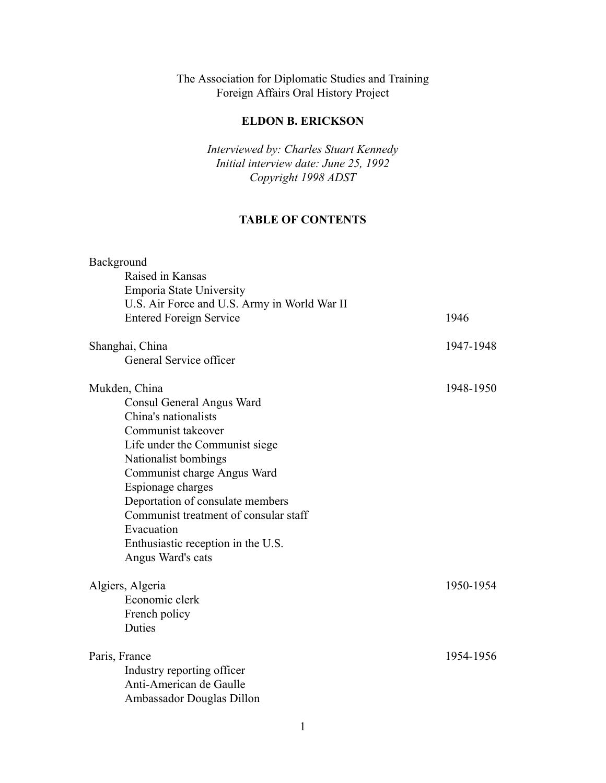# The Association for Diplomatic Studies and Training Foreign Affairs Oral History Project

# **ELDON B. ERICKSON**

*Interviewed by: Charles Stuart Kennedy Initial interview date: June 25, 1992 Copyright 1998 ADST*

# **TABLE OF CONTENTS**

| Background                                   |           |
|----------------------------------------------|-----------|
| Raised in Kansas                             |           |
| <b>Emporia State University</b>              |           |
| U.S. Air Force and U.S. Army in World War II |           |
| <b>Entered Foreign Service</b>               | 1946      |
| Shanghai, China                              | 1947-1948 |
| General Service officer                      |           |
| Mukden, China                                | 1948-1950 |
| Consul General Angus Ward                    |           |
| China's nationalists                         |           |
| Communist takeover                           |           |
| Life under the Communist siege               |           |
| Nationalist bombings                         |           |
| Communist charge Angus Ward                  |           |
| Espionage charges                            |           |
| Deportation of consulate members             |           |
| Communist treatment of consular staff        |           |
| Evacuation                                   |           |
| Enthusiastic reception in the U.S.           |           |
| Angus Ward's cats                            |           |
| Algiers, Algeria                             | 1950-1954 |
| Economic clerk                               |           |
| French policy                                |           |
| Duties                                       |           |
| Paris, France                                | 1954-1956 |
| Industry reporting officer                   |           |
| Anti-American de Gaulle                      |           |
| Ambassador Douglas Dillon                    |           |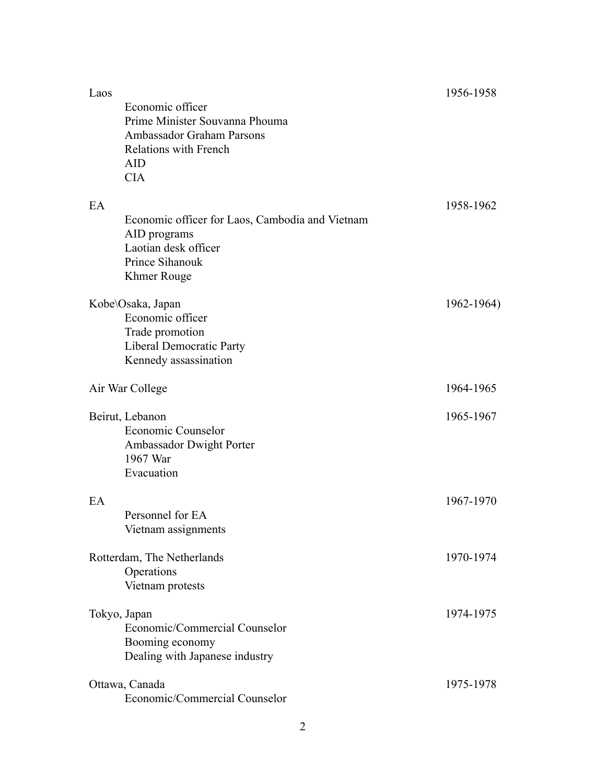| Laos<br>Economic officer<br>Prime Minister Souvanna Phouma<br><b>Ambassador Graham Parsons</b><br><b>Relations with French</b><br><b>AID</b><br><b>CIA</b> | 1956-1958  |
|------------------------------------------------------------------------------------------------------------------------------------------------------------|------------|
| EA<br>Economic officer for Laos, Cambodia and Vietnam<br>AID programs<br>Laotian desk officer<br>Prince Sihanouk<br><b>Khmer Rouge</b>                     | 1958-1962  |
| Kobe\Osaka, Japan<br>Economic officer<br>Trade promotion<br>Liberal Democratic Party<br>Kennedy assassination                                              | 1962-1964) |
| Air War College                                                                                                                                            | 1964-1965  |
| Beirut, Lebanon<br>Economic Counselor<br>Ambassador Dwight Porter<br>1967 War<br>Evacuation                                                                | 1965-1967  |
| EA<br>Personnel for EA<br>Vietnam assignments                                                                                                              | 1967-1970  |
| Rotterdam, The Netherlands<br>Operations<br>Vietnam protests                                                                                               | 1970-1974  |
| Tokyo, Japan<br>Economic/Commercial Counselor<br>Booming economy<br>Dealing with Japanese industry                                                         | 1974-1975  |
| Ottawa, Canada<br>Economic/Commercial Counselor                                                                                                            | 1975-1978  |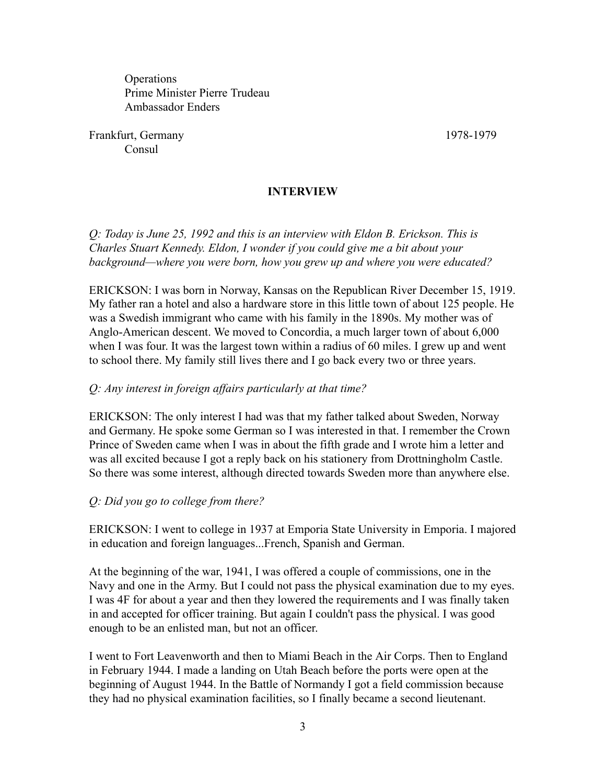**Operations** Prime Minister Pierre Trudeau Ambassador Enders

Frankfurt, Germany 1978-1979 **Consul** 

#### **INTERVIEW**

*Q: Today is June 25, 1992 and this is an interview with Eldon B. Erickson. This is Charles Stuart Kennedy. Eldon, I wonder if you could give me a bit about your background—where you were born, how you grew up and where you were educated?*

ERICKSON: I was born in Norway, Kansas on the Republican River December 15, 1919. My father ran a hotel and also a hardware store in this little town of about 125 people. He was a Swedish immigrant who came with his family in the 1890s. My mother was of Anglo-American descent. We moved to Concordia, a much larger town of about 6,000 when I was four. It was the largest town within a radius of 60 miles. I grew up and went to school there. My family still lives there and I go back every two or three years.

#### *Q: Any interest in foreign affairs particularly at that time?*

ERICKSON: The only interest I had was that my father talked about Sweden, Norway and Germany. He spoke some German so I was interested in that. I remember the Crown Prince of Sweden came when I was in about the fifth grade and I wrote him a letter and was all excited because I got a reply back on his stationery from Drottningholm Castle. So there was some interest, although directed towards Sweden more than anywhere else.

#### *Q: Did you go to college from there?*

ERICKSON: I went to college in 1937 at Emporia State University in Emporia. I majored in education and foreign languages...French, Spanish and German.

At the beginning of the war, 1941, I was offered a couple of commissions, one in the Navy and one in the Army. But I could not pass the physical examination due to my eyes. I was 4F for about a year and then they lowered the requirements and I was finally taken in and accepted for officer training. But again I couldn't pass the physical. I was good enough to be an enlisted man, but not an officer.

I went to Fort Leavenworth and then to Miami Beach in the Air Corps. Then to England in February 1944. I made a landing on Utah Beach before the ports were open at the beginning of August 1944. In the Battle of Normandy I got a field commission because they had no physical examination facilities, so I finally became a second lieutenant.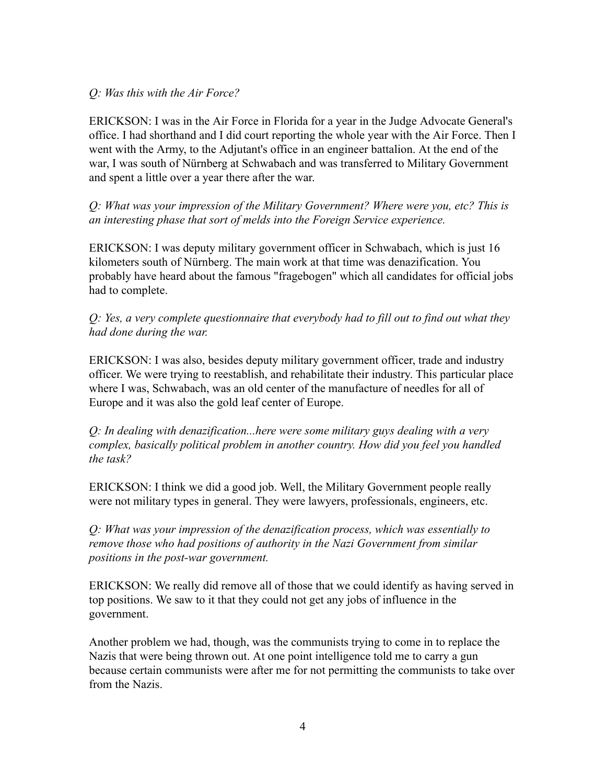#### *Q: Was this with the Air Force?*

ERICKSON: I was in the Air Force in Florida for a year in the Judge Advocate General's office. I had shorthand and I did court reporting the whole year with the Air Force. Then I went with the Army, to the Adjutant's office in an engineer battalion. At the end of the war, I was south of Nürnberg at Schwabach and was transferred to Military Government and spent a little over a year there after the war.

*Q: What was your impression of the Military Government? Where were you, etc? This is an interesting phase that sort of melds into the Foreign Service experience.*

ERICKSON: I was deputy military government officer in Schwabach, which is just 16 kilometers south of Nürnberg. The main work at that time was denazification. You probably have heard about the famous "fragebogen" which all candidates for official jobs had to complete.

*Q: Yes, a very complete questionnaire that everybody had to fill out to find out what they had done during the war.*

ERICKSON: I was also, besides deputy military government officer, trade and industry officer. We were trying to reestablish, and rehabilitate their industry. This particular place where I was, Schwabach, was an old center of the manufacture of needles for all of Europe and it was also the gold leaf center of Europe.

*Q: In dealing with denazification...here were some military guys dealing with a very complex, basically political problem in another country. How did you feel you handled the task?*

ERICKSON: I think we did a good job. Well, the Military Government people really were not military types in general. They were lawyers, professionals, engineers, etc.

*Q: What was your impression of the denazification process, which was essentially to remove those who had positions of authority in the Nazi Government from similar positions in the post-war government.*

ERICKSON: We really did remove all of those that we could identify as having served in top positions. We saw to it that they could not get any jobs of influence in the government.

Another problem we had, though, was the communists trying to come in to replace the Nazis that were being thrown out. At one point intelligence told me to carry a gun because certain communists were after me for not permitting the communists to take over from the Nazis.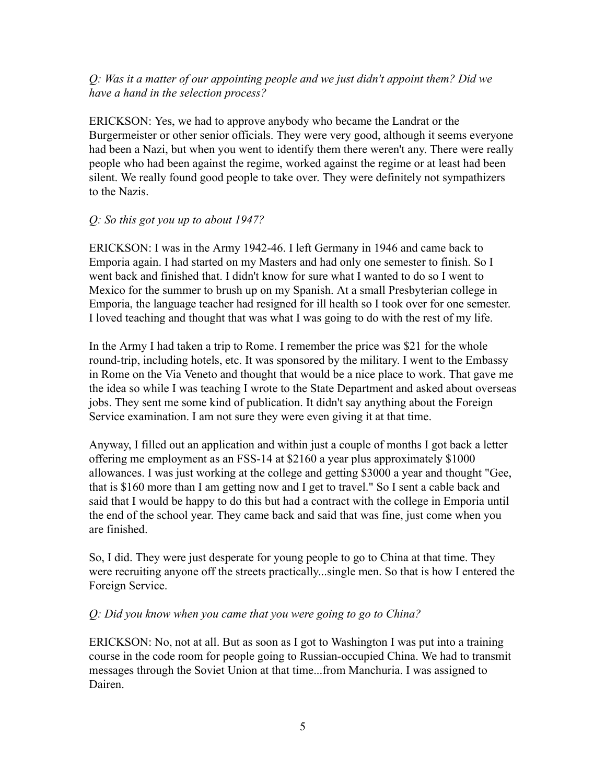## *Q: Was it a matter of our appointing people and we just didn't appoint them? Did we have a hand in the selection process?*

ERICKSON: Yes, we had to approve anybody who became the Landrat or the Burgermeister or other senior officials. They were very good, although it seems everyone had been a Nazi, but when you went to identify them there weren't any. There were really people who had been against the regime, worked against the regime or at least had been silent. We really found good people to take over. They were definitely not sympathizers to the Nazis.

#### *Q: So this got you up to about 1947?*

ERICKSON: I was in the Army 1942-46. I left Germany in 1946 and came back to Emporia again. I had started on my Masters and had only one semester to finish. So I went back and finished that. I didn't know for sure what I wanted to do so I went to Mexico for the summer to brush up on my Spanish. At a small Presbyterian college in Emporia, the language teacher had resigned for ill health so I took over for one semester. I loved teaching and thought that was what I was going to do with the rest of my life.

In the Army I had taken a trip to Rome. I remember the price was \$21 for the whole round-trip, including hotels, etc. It was sponsored by the military. I went to the Embassy in Rome on the Via Veneto and thought that would be a nice place to work. That gave me the idea so while I was teaching I wrote to the State Department and asked about overseas jobs. They sent me some kind of publication. It didn't say anything about the Foreign Service examination. I am not sure they were even giving it at that time.

Anyway, I filled out an application and within just a couple of months I got back a letter offering me employment as an FSS-14 at \$2160 a year plus approximately \$1000 allowances. I was just working at the college and getting \$3000 a year and thought "Gee, that is \$160 more than I am getting now and I get to travel." So I sent a cable back and said that I would be happy to do this but had a contract with the college in Emporia until the end of the school year. They came back and said that was fine, just come when you are finished.

So, I did. They were just desperate for young people to go to China at that time. They were recruiting anyone off the streets practically...single men. So that is how I entered the Foreign Service.

### *Q: Did you know when you came that you were going to go to China?*

ERICKSON: No, not at all. But as soon as I got to Washington I was put into a training course in the code room for people going to Russian-occupied China. We had to transmit messages through the Soviet Union at that time...from Manchuria. I was assigned to Dairen.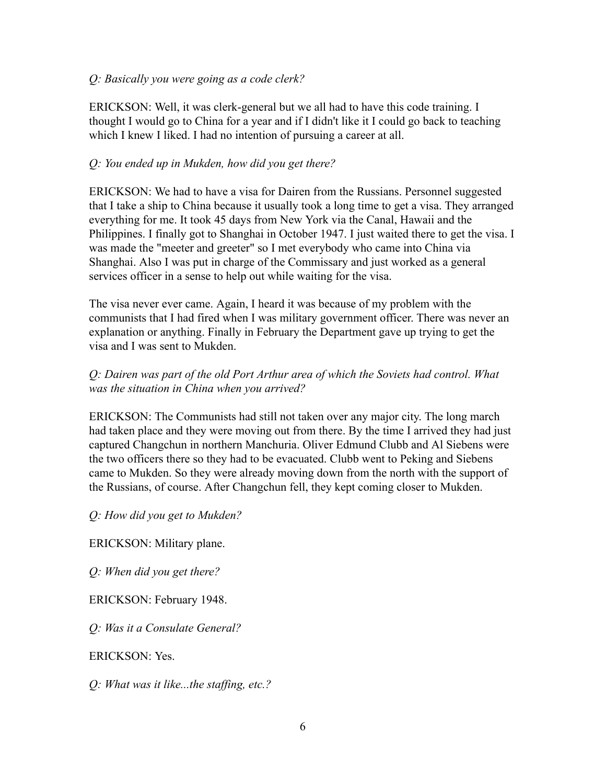#### *Q: Basically you were going as a code clerk?*

ERICKSON: Well, it was clerk-general but we all had to have this code training. I thought I would go to China for a year and if I didn't like it I could go back to teaching which I knew I liked. I had no intention of pursuing a career at all.

### *Q: You ended up in Mukden, how did you get there?*

ERICKSON: We had to have a visa for Dairen from the Russians. Personnel suggested that I take a ship to China because it usually took a long time to get a visa. They arranged everything for me. It took 45 days from New York via the Canal, Hawaii and the Philippines. I finally got to Shanghai in October 1947. I just waited there to get the visa. I was made the "meeter and greeter" so I met everybody who came into China via Shanghai. Also I was put in charge of the Commissary and just worked as a general services officer in a sense to help out while waiting for the visa.

The visa never ever came. Again, I heard it was because of my problem with the communists that I had fired when I was military government officer. There was never an explanation or anything. Finally in February the Department gave up trying to get the visa and I was sent to Mukden.

# *Q: Dairen was part of the old Port Arthur area of which the Soviets had control. What was the situation in China when you arrived?*

ERICKSON: The Communists had still not taken over any major city. The long march had taken place and they were moving out from there. By the time I arrived they had just captured Changchun in northern Manchuria. Oliver Edmund Clubb and Al Siebens were the two officers there so they had to be evacuated. Clubb went to Peking and Siebens came to Mukden. So they were already moving down from the north with the support of the Russians, of course. After Changchun fell, they kept coming closer to Mukden.

*Q: How did you get to Mukden?*

ERICKSON: Military plane.

*Q: When did you get there?*

ERICKSON: February 1948.

*Q: Was it a Consulate General?*

ERICKSON: Yes.

*Q: What was it like...the staffing, etc.?*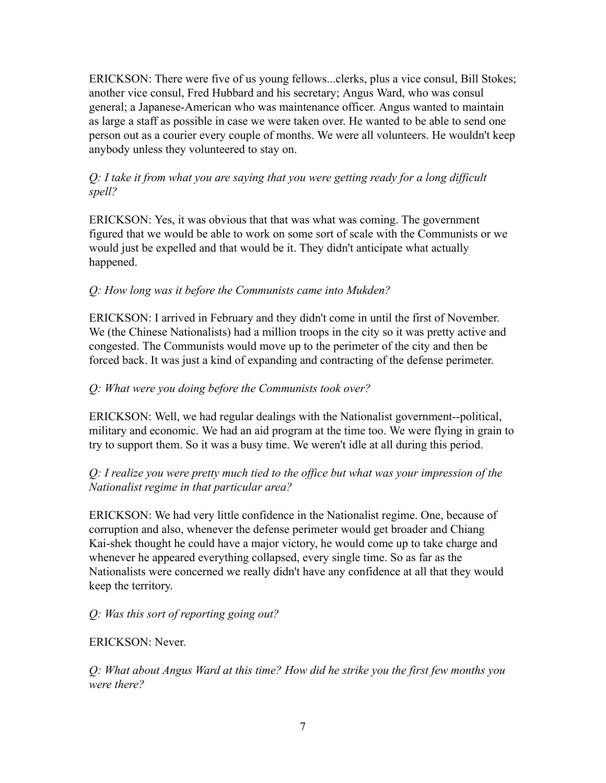ERICKSON: There were five of us young fellows...clerks, plus a vice consul, Bill Stokes; another vice consul, Fred Hubbard and his secretary; Angus Ward, who was consul general; a Japanese-American who was maintenance officer. Angus wanted to maintain as large a staff as possible in case we were taken over. He wanted to be able to send one person out as a courier every couple of months. We were all volunteers. He wouldn't keep anybody unless they volunteered to stay on.

## *Q: I take it from what you are saying that you were getting ready for a long difficult spell?*

ERICKSON: Yes, it was obvious that that was what was coming. The government figured that we would be able to work on some sort of scale with the Communists or we would just be expelled and that would be it. They didn't anticipate what actually happened.

# *Q: How long was it before the Communists came into Mukden?*

ERICKSON: I arrived in February and they didn't come in until the first of November. We (the Chinese Nationalists) had a million troops in the city so it was pretty active and congested. The Communists would move up to the perimeter of the city and then be forced back. It was just a kind of expanding and contracting of the defense perimeter.

# *Q: What were you doing before the Communists took over?*

ERICKSON: Well, we had regular dealings with the Nationalist government--political, military and economic. We had an aid program at the time too. We were flying in grain to try to support them. So it was a busy time. We weren't idle at all during this period.

# *Q: I realize you were pretty much tied to the office but what was your impression of the Nationalist regime in that particular area?*

ERICKSON: We had very little confidence in the Nationalist regime. One, because of corruption and also, whenever the defense perimeter would get broader and Chiang Kai-shek thought he could have a major victory, he would come up to take charge and whenever he appeared everything collapsed, every single time. So as far as the Nationalists were concerned we really didn't have any confidence at all that they would keep the territory.

# *Q: Was this sort of reporting going out?*

### ERICKSON: Never.

*Q: What about Angus Ward at this time? How did he strike you the first few months you were there?*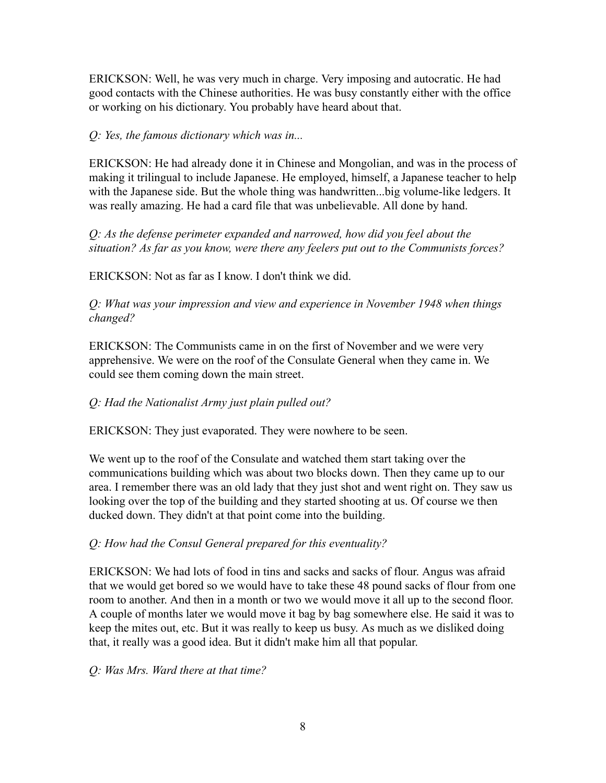ERICKSON: Well, he was very much in charge. Very imposing and autocratic. He had good contacts with the Chinese authorities. He was busy constantly either with the office or working on his dictionary. You probably have heard about that.

### *Q: Yes, the famous dictionary which was in...*

ERICKSON: He had already done it in Chinese and Mongolian, and was in the process of making it trilingual to include Japanese. He employed, himself, a Japanese teacher to help with the Japanese side. But the whole thing was handwritten...big volume-like ledgers. It was really amazing. He had a card file that was unbelievable. All done by hand.

*Q: As the defense perimeter expanded and narrowed, how did you feel about the situation? As far as you know, were there any feelers put out to the Communists forces?*

ERICKSON: Not as far as I know. I don't think we did.

*Q: What was your impression and view and experience in November 1948 when things changed?*

ERICKSON: The Communists came in on the first of November and we were very apprehensive. We were on the roof of the Consulate General when they came in. We could see them coming down the main street.

# *Q: Had the Nationalist Army just plain pulled out?*

ERICKSON: They just evaporated. They were nowhere to be seen.

We went up to the roof of the Consulate and watched them start taking over the communications building which was about two blocks down. Then they came up to our area. I remember there was an old lady that they just shot and went right on. They saw us looking over the top of the building and they started shooting at us. Of course we then ducked down. They didn't at that point come into the building.

### *Q: How had the Consul General prepared for this eventuality?*

ERICKSON: We had lots of food in tins and sacks and sacks of flour. Angus was afraid that we would get bored so we would have to take these 48 pound sacks of flour from one room to another. And then in a month or two we would move it all up to the second floor. A couple of months later we would move it bag by bag somewhere else. He said it was to keep the mites out, etc. But it was really to keep us busy. As much as we disliked doing that, it really was a good idea. But it didn't make him all that popular.

### *Q: Was Mrs. Ward there at that time?*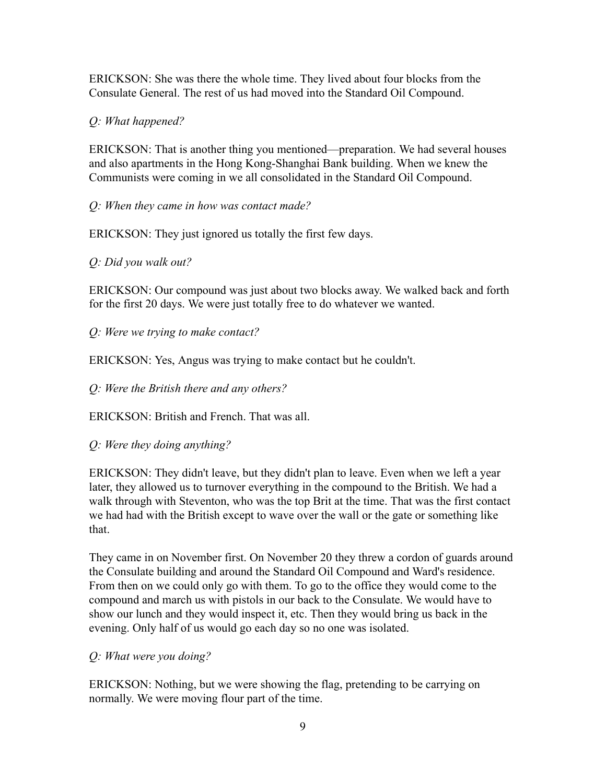ERICKSON: She was there the whole time. They lived about four blocks from the Consulate General. The rest of us had moved into the Standard Oil Compound.

*Q: What happened?*

ERICKSON: That is another thing you mentioned—preparation. We had several houses and also apartments in the Hong Kong-Shanghai Bank building. When we knew the Communists were coming in we all consolidated in the Standard Oil Compound.

*Q: When they came in how was contact made?*

ERICKSON: They just ignored us totally the first few days.

*Q: Did you walk out?*

ERICKSON: Our compound was just about two blocks away. We walked back and forth for the first 20 days. We were just totally free to do whatever we wanted.

*Q: Were we trying to make contact?*

ERICKSON: Yes, Angus was trying to make contact but he couldn't.

*Q: Were the British there and any others?*

ERICKSON: British and French. That was all.

*Q: Were they doing anything?*

ERICKSON: They didn't leave, but they didn't plan to leave. Even when we left a year later, they allowed us to turnover everything in the compound to the British. We had a walk through with Steventon, who was the top Brit at the time. That was the first contact we had had with the British except to wave over the wall or the gate or something like that.

They came in on November first. On November 20 they threw a cordon of guards around the Consulate building and around the Standard Oil Compound and Ward's residence. From then on we could only go with them. To go to the office they would come to the compound and march us with pistols in our back to the Consulate. We would have to show our lunch and they would inspect it, etc. Then they would bring us back in the evening. Only half of us would go each day so no one was isolated.

*Q: What were you doing?*

ERICKSON: Nothing, but we were showing the flag, pretending to be carrying on normally. We were moving flour part of the time.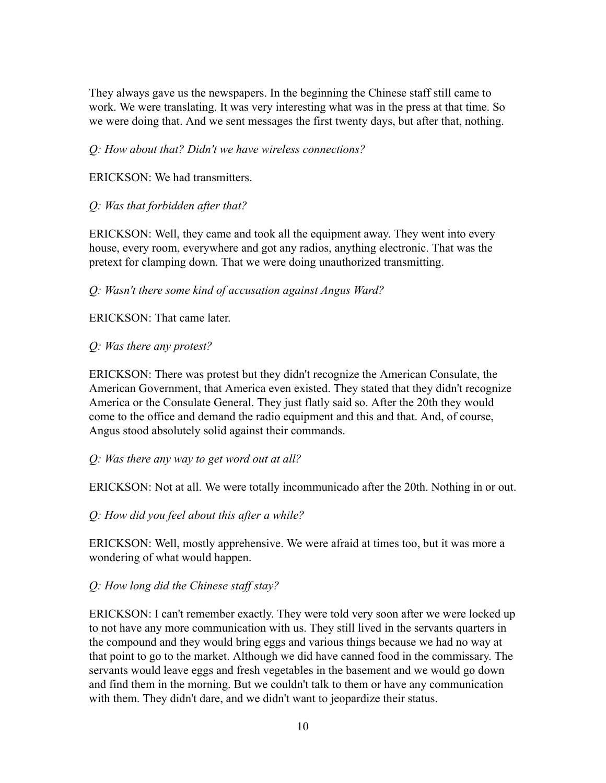They always gave us the newspapers. In the beginning the Chinese staff still came to work. We were translating. It was very interesting what was in the press at that time. So we were doing that. And we sent messages the first twenty days, but after that, nothing.

### *Q: How about that? Didn't we have wireless connections?*

ERICKSON: We had transmitters.

# *Q: Was that forbidden after that?*

ERICKSON: Well, they came and took all the equipment away. They went into every house, every room, everywhere and got any radios, anything electronic. That was the pretext for clamping down. That we were doing unauthorized transmitting.

### *Q: Wasn't there some kind of accusation against Angus Ward?*

ERICKSON: That came later.

# *Q: Was there any protest?*

ERICKSON: There was protest but they didn't recognize the American Consulate, the American Government, that America even existed. They stated that they didn't recognize America or the Consulate General. They just flatly said so. After the 20th they would come to the office and demand the radio equipment and this and that. And, of course, Angus stood absolutely solid against their commands.

### *Q: Was there any way to get word out at all?*

ERICKSON: Not at all. We were totally incommunicado after the 20th. Nothing in or out.

*Q: How did you feel about this after a while?*

ERICKSON: Well, mostly apprehensive. We were afraid at times too, but it was more a wondering of what would happen.

# *Q: How long did the Chinese staff stay?*

ERICKSON: I can't remember exactly. They were told very soon after we were locked up to not have any more communication with us. They still lived in the servants quarters in the compound and they would bring eggs and various things because we had no way at that point to go to the market. Although we did have canned food in the commissary. The servants would leave eggs and fresh vegetables in the basement and we would go down and find them in the morning. But we couldn't talk to them or have any communication with them. They didn't dare, and we didn't want to jeopardize their status.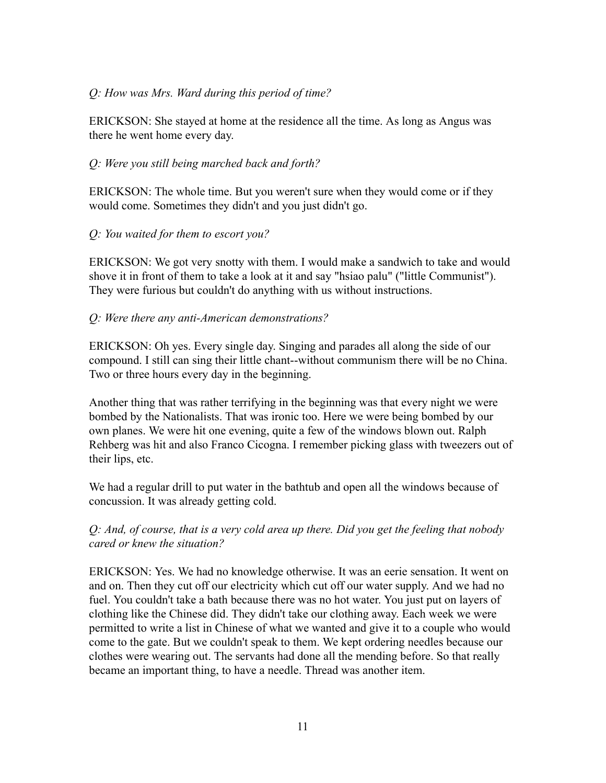#### *Q: How was Mrs. Ward during this period of time?*

ERICKSON: She stayed at home at the residence all the time. As long as Angus was there he went home every day.

#### *Q: Were you still being marched back and forth?*

ERICKSON: The whole time. But you weren't sure when they would come or if they would come. Sometimes they didn't and you just didn't go.

#### *Q: You waited for them to escort you?*

ERICKSON: We got very snotty with them. I would make a sandwich to take and would shove it in front of them to take a look at it and say "hsiao palu" ("little Communist"). They were furious but couldn't do anything with us without instructions.

#### *Q: Were there any anti-American demonstrations?*

ERICKSON: Oh yes. Every single day. Singing and parades all along the side of our compound. I still can sing their little chant--without communism there will be no China. Two or three hours every day in the beginning.

Another thing that was rather terrifying in the beginning was that every night we were bombed by the Nationalists. That was ironic too. Here we were being bombed by our own planes. We were hit one evening, quite a few of the windows blown out. Ralph Rehberg was hit and also Franco Cicogna. I remember picking glass with tweezers out of their lips, etc.

We had a regular drill to put water in the bathtub and open all the windows because of concussion. It was already getting cold.

### *Q: And, of course, that is a very cold area up there. Did you get the feeling that nobody cared or knew the situation?*

ERICKSON: Yes. We had no knowledge otherwise. It was an eerie sensation. It went on and on. Then they cut off our electricity which cut off our water supply. And we had no fuel. You couldn't take a bath because there was no hot water. You just put on layers of clothing like the Chinese did. They didn't take our clothing away. Each week we were permitted to write a list in Chinese of what we wanted and give it to a couple who would come to the gate. But we couldn't speak to them. We kept ordering needles because our clothes were wearing out. The servants had done all the mending before. So that really became an important thing, to have a needle. Thread was another item.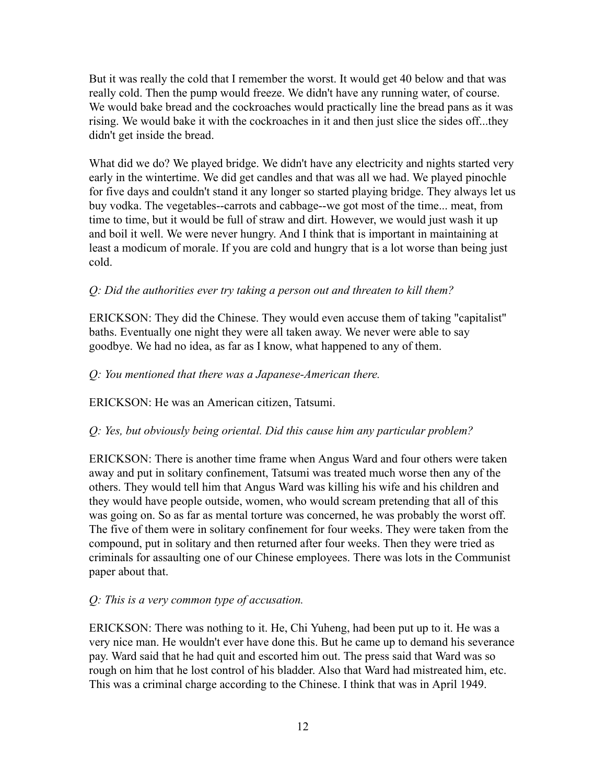But it was really the cold that I remember the worst. It would get 40 below and that was really cold. Then the pump would freeze. We didn't have any running water, of course. We would bake bread and the cockroaches would practically line the bread pans as it was rising. We would bake it with the cockroaches in it and then just slice the sides off...they didn't get inside the bread.

What did we do? We played bridge. We didn't have any electricity and nights started very early in the wintertime. We did get candles and that was all we had. We played pinochle for five days and couldn't stand it any longer so started playing bridge. They always let us buy vodka. The vegetables--carrots and cabbage--we got most of the time... meat, from time to time, but it would be full of straw and dirt. However, we would just wash it up and boil it well. We were never hungry. And I think that is important in maintaining at least a modicum of morale. If you are cold and hungry that is a lot worse than being just cold.

### *Q: Did the authorities ever try taking a person out and threaten to kill them?*

ERICKSON: They did the Chinese. They would even accuse them of taking "capitalist" baths. Eventually one night they were all taken away. We never were able to say goodbye. We had no idea, as far as I know, what happened to any of them.

#### *Q: You mentioned that there was a Japanese-American there.*

ERICKSON: He was an American citizen, Tatsumi.

#### *Q: Yes, but obviously being oriental. Did this cause him any particular problem?*

ERICKSON: There is another time frame when Angus Ward and four others were taken away and put in solitary confinement, Tatsumi was treated much worse then any of the others. They would tell him that Angus Ward was killing his wife and his children and they would have people outside, women, who would scream pretending that all of this was going on. So as far as mental torture was concerned, he was probably the worst off. The five of them were in solitary confinement for four weeks. They were taken from the compound, put in solitary and then returned after four weeks. Then they were tried as criminals for assaulting one of our Chinese employees. There was lots in the Communist paper about that.

#### *Q: This is a very common type of accusation.*

ERICKSON: There was nothing to it. He, Chi Yuheng, had been put up to it. He was a very nice man. He wouldn't ever have done this. But he came up to demand his severance pay. Ward said that he had quit and escorted him out. The press said that Ward was so rough on him that he lost control of his bladder. Also that Ward had mistreated him, etc. This was a criminal charge according to the Chinese. I think that was in April 1949.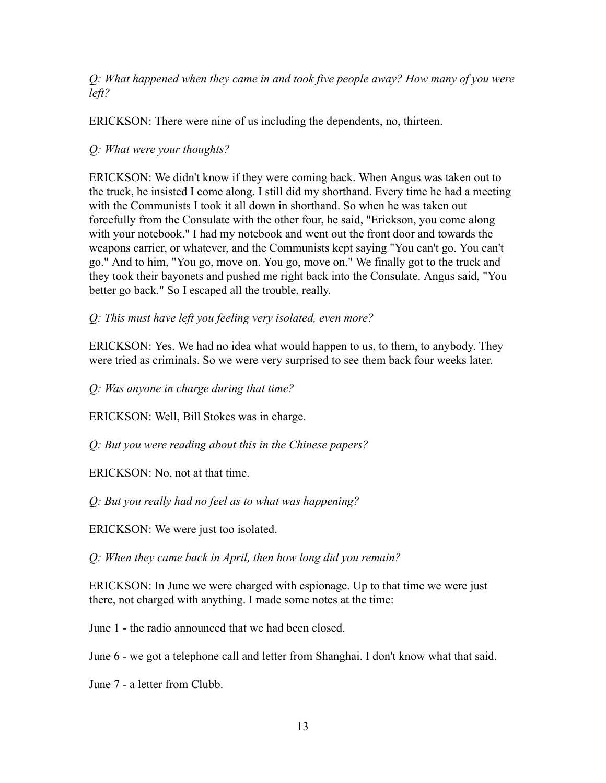*Q: What happened when they came in and took five people away? How many of you were left?*

ERICKSON: There were nine of us including the dependents, no, thirteen.

### *Q: What were your thoughts?*

ERICKSON: We didn't know if they were coming back. When Angus was taken out to the truck, he insisted I come along. I still did my shorthand. Every time he had a meeting with the Communists I took it all down in shorthand. So when he was taken out forcefully from the Consulate with the other four, he said, "Erickson, you come along with your notebook." I had my notebook and went out the front door and towards the weapons carrier, or whatever, and the Communists kept saying "You can't go. You can't go." And to him, "You go, move on. You go, move on." We finally got to the truck and they took their bayonets and pushed me right back into the Consulate. Angus said, "You better go back." So I escaped all the trouble, really.

*Q: This must have left you feeling very isolated, even more?*

ERICKSON: Yes. We had no idea what would happen to us, to them, to anybody. They were tried as criminals. So we were very surprised to see them back four weeks later.

*Q: Was anyone in charge during that time?*

ERICKSON: Well, Bill Stokes was in charge.

*Q: But you were reading about this in the Chinese papers?*

ERICKSON: No, not at that time.

*Q: But you really had no feel as to what was happening?*

ERICKSON: We were just too isolated.

*Q: When they came back in April, then how long did you remain?*

ERICKSON: In June we were charged with espionage. Up to that time we were just there, not charged with anything. I made some notes at the time:

June 1 - the radio announced that we had been closed.

June 6 - we got a telephone call and letter from Shanghai. I don't know what that said.

June 7 - a letter from Clubb.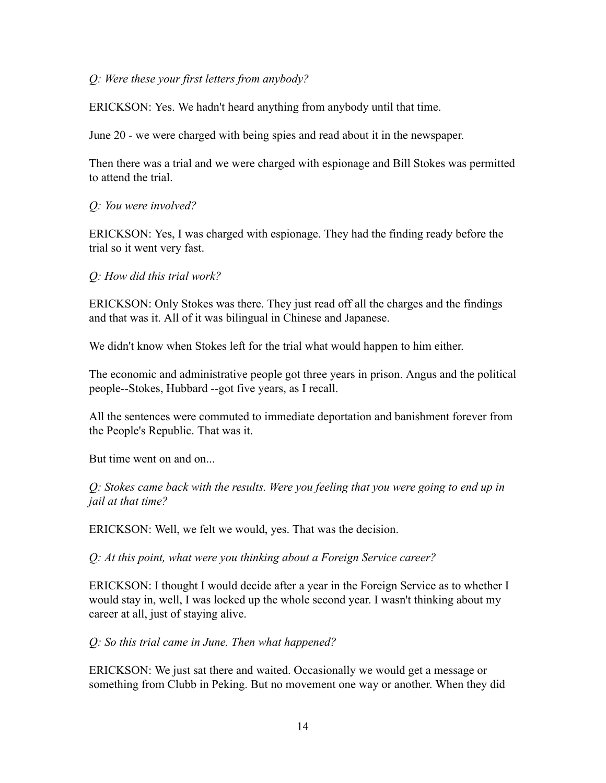#### *Q: Were these your first letters from anybody?*

ERICKSON: Yes. We hadn't heard anything from anybody until that time.

June 20 - we were charged with being spies and read about it in the newspaper.

Then there was a trial and we were charged with espionage and Bill Stokes was permitted to attend the trial.

*Q: You were involved?*

ERICKSON: Yes, I was charged with espionage. They had the finding ready before the trial so it went very fast.

*Q: How did this trial work?*

ERICKSON: Only Stokes was there. They just read off all the charges and the findings and that was it. All of it was bilingual in Chinese and Japanese.

We didn't know when Stokes left for the trial what would happen to him either.

The economic and administrative people got three years in prison. Angus and the political people--Stokes, Hubbard --got five years, as I recall.

All the sentences were commuted to immediate deportation and banishment forever from the People's Republic. That was it.

But time went on and on...

*Q: Stokes came back with the results. Were you feeling that you were going to end up in jail at that time?*

ERICKSON: Well, we felt we would, yes. That was the decision.

*Q: At this point, what were you thinking about a Foreign Service career?*

ERICKSON: I thought I would decide after a year in the Foreign Service as to whether I would stay in, well, I was locked up the whole second year. I wasn't thinking about my career at all, just of staying alive.

*Q: So this trial came in June. Then what happened?*

ERICKSON: We just sat there and waited. Occasionally we would get a message or something from Clubb in Peking. But no movement one way or another. When they did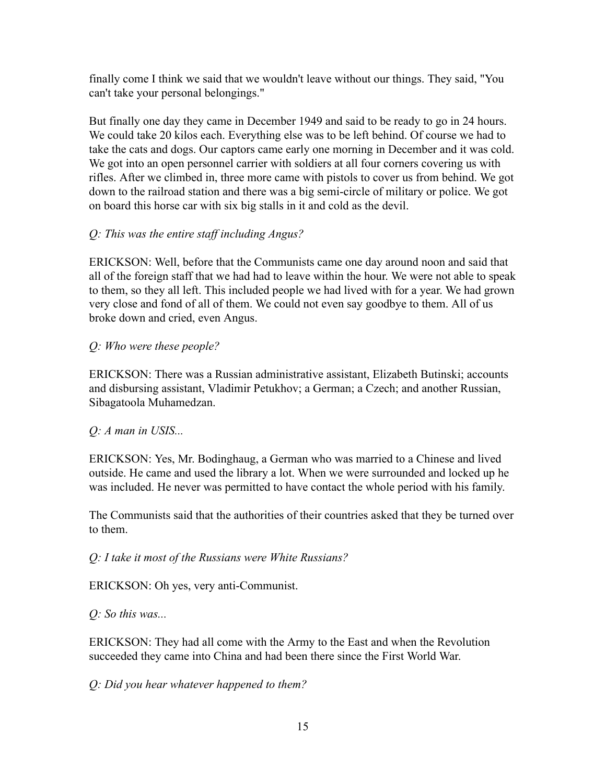finally come I think we said that we wouldn't leave without our things. They said, "You can't take your personal belongings."

But finally one day they came in December 1949 and said to be ready to go in 24 hours. We could take 20 kilos each. Everything else was to be left behind. Of course we had to take the cats and dogs. Our captors came early one morning in December and it was cold. We got into an open personnel carrier with soldiers at all four corners covering us with rifles. After we climbed in, three more came with pistols to cover us from behind. We got down to the railroad station and there was a big semi-circle of military or police. We got on board this horse car with six big stalls in it and cold as the devil.

# *Q: This was the entire staff including Angus?*

ERICKSON: Well, before that the Communists came one day around noon and said that all of the foreign staff that we had had to leave within the hour. We were not able to speak to them, so they all left. This included people we had lived with for a year. We had grown very close and fond of all of them. We could not even say goodbye to them. All of us broke down and cried, even Angus.

# *Q: Who were these people?*

ERICKSON: There was a Russian administrative assistant, Elizabeth Butinski; accounts and disbursing assistant, Vladimir Petukhov; a German; a Czech; and another Russian, Sibagatoola Muhamedzan.

# *Q: A man in USIS...*

ERICKSON: Yes, Mr. Bodinghaug, a German who was married to a Chinese and lived outside. He came and used the library a lot. When we were surrounded and locked up he was included. He never was permitted to have contact the whole period with his family.

The Communists said that the authorities of their countries asked that they be turned over to them.

# *Q: I take it most of the Russians were White Russians?*

ERICKSON: Oh yes, very anti-Communist.

*Q: So this was...*

ERICKSON: They had all come with the Army to the East and when the Revolution succeeded they came into China and had been there since the First World War.

*Q: Did you hear whatever happened to them?*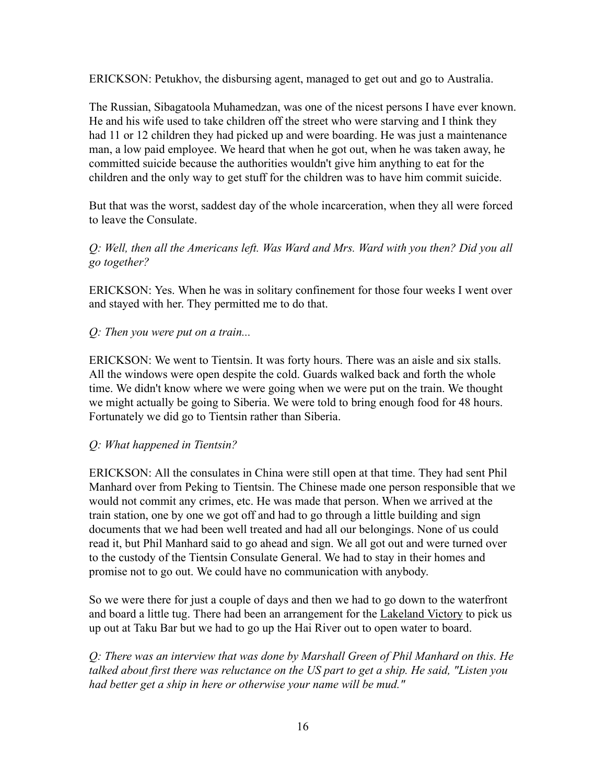ERICKSON: Petukhov, the disbursing agent, managed to get out and go to Australia.

The Russian, Sibagatoola Muhamedzan, was one of the nicest persons I have ever known. He and his wife used to take children off the street who were starving and I think they had 11 or 12 children they had picked up and were boarding. He was just a maintenance man, a low paid employee. We heard that when he got out, when he was taken away, he committed suicide because the authorities wouldn't give him anything to eat for the children and the only way to get stuff for the children was to have him commit suicide.

But that was the worst, saddest day of the whole incarceration, when they all were forced to leave the Consulate.

# *Q: Well, then all the Americans left. Was Ward and Mrs. Ward with you then? Did you all go together?*

ERICKSON: Yes. When he was in solitary confinement for those four weeks I went over and stayed with her. They permitted me to do that.

### *Q: Then you were put on a train...*

ERICKSON: We went to Tientsin. It was forty hours. There was an aisle and six stalls. All the windows were open despite the cold. Guards walked back and forth the whole time. We didn't know where we were going when we were put on the train. We thought we might actually be going to Siberia. We were told to bring enough food for 48 hours. Fortunately we did go to Tientsin rather than Siberia.

#### *Q: What happened in Tientsin?*

ERICKSON: All the consulates in China were still open at that time. They had sent Phil Manhard over from Peking to Tientsin. The Chinese made one person responsible that we would not commit any crimes, etc. He was made that person. When we arrived at the train station, one by one we got off and had to go through a little building and sign documents that we had been well treated and had all our belongings. None of us could read it, but Phil Manhard said to go ahead and sign. We all got out and were turned over to the custody of the Tientsin Consulate General. We had to stay in their homes and promise not to go out. We could have no communication with anybody.

So we were there for just a couple of days and then we had to go down to the waterfront and board a little tug. There had been an arrangement for the Lakeland Victory to pick us up out at Taku Bar but we had to go up the Hai River out to open water to board.

*Q: There was an interview that was done by Marshall Green of Phil Manhard on this. He talked about first there was reluctance on the US part to get a ship. He said, "Listen you had better get a ship in here or otherwise your name will be mud."*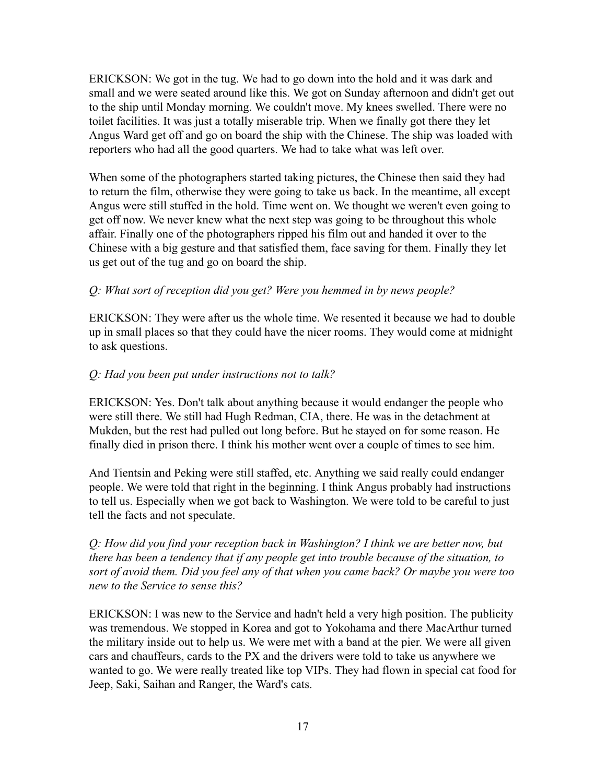ERICKSON: We got in the tug. We had to go down into the hold and it was dark and small and we were seated around like this. We got on Sunday afternoon and didn't get out to the ship until Monday morning. We couldn't move. My knees swelled. There were no toilet facilities. It was just a totally miserable trip. When we finally got there they let Angus Ward get off and go on board the ship with the Chinese. The ship was loaded with reporters who had all the good quarters. We had to take what was left over.

When some of the photographers started taking pictures, the Chinese then said they had to return the film, otherwise they were going to take us back. In the meantime, all except Angus were still stuffed in the hold. Time went on. We thought we weren't even going to get off now. We never knew what the next step was going to be throughout this whole affair. Finally one of the photographers ripped his film out and handed it over to the Chinese with a big gesture and that satisfied them, face saving for them. Finally they let us get out of the tug and go on board the ship.

# *Q: What sort of reception did you get? Were you hemmed in by news people?*

ERICKSON: They were after us the whole time. We resented it because we had to double up in small places so that they could have the nicer rooms. They would come at midnight to ask questions.

### *Q: Had you been put under instructions not to talk?*

ERICKSON: Yes. Don't talk about anything because it would endanger the people who were still there. We still had Hugh Redman, CIA, there. He was in the detachment at Mukden, but the rest had pulled out long before. But he stayed on for some reason. He finally died in prison there. I think his mother went over a couple of times to see him.

And Tientsin and Peking were still staffed, etc. Anything we said really could endanger people. We were told that right in the beginning. I think Angus probably had instructions to tell us. Especially when we got back to Washington. We were told to be careful to just tell the facts and not speculate.

*Q: How did you find your reception back in Washington? I think we are better now, but there has been a tendency that if any people get into trouble because of the situation, to sort of avoid them. Did you feel any of that when you came back? Or maybe you were too new to the Service to sense this?*

ERICKSON: I was new to the Service and hadn't held a very high position. The publicity was tremendous. We stopped in Korea and got to Yokohama and there MacArthur turned the military inside out to help us. We were met with a band at the pier. We were all given cars and chauffeurs, cards to the PX and the drivers were told to take us anywhere we wanted to go. We were really treated like top VIPs. They had flown in special cat food for Jeep, Saki, Saihan and Ranger, the Ward's cats.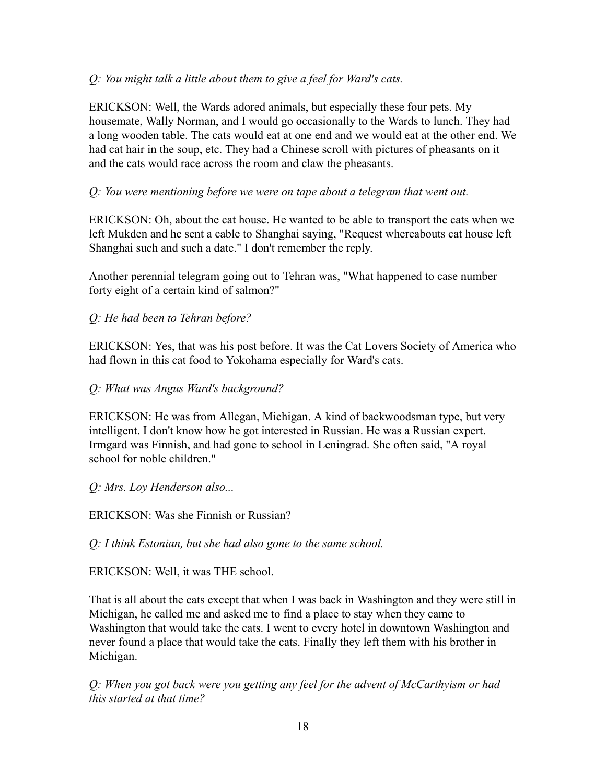## *Q: You might talk a little about them to give a feel for Ward's cats.*

ERICKSON: Well, the Wards adored animals, but especially these four pets. My housemate, Wally Norman, and I would go occasionally to the Wards to lunch. They had a long wooden table. The cats would eat at one end and we would eat at the other end. We had cat hair in the soup, etc. They had a Chinese scroll with pictures of pheasants on it and the cats would race across the room and claw the pheasants.

# *Q: You were mentioning before we were on tape about a telegram that went out.*

ERICKSON: Oh, about the cat house. He wanted to be able to transport the cats when we left Mukden and he sent a cable to Shanghai saying, "Request whereabouts cat house left Shanghai such and such a date." I don't remember the reply.

Another perennial telegram going out to Tehran was, "What happened to case number forty eight of a certain kind of salmon?"

# *Q: He had been to Tehran before?*

ERICKSON: Yes, that was his post before. It was the Cat Lovers Society of America who had flown in this cat food to Yokohama especially for Ward's cats.

### *Q: What was Angus Ward's background?*

ERICKSON: He was from Allegan, Michigan. A kind of backwoodsman type, but very intelligent. I don't know how he got interested in Russian. He was a Russian expert. Irmgard was Finnish, and had gone to school in Leningrad. She often said, "A royal school for noble children."

### *Q: Mrs. Loy Henderson also...*

ERICKSON: Was she Finnish or Russian?

*Q: I think Estonian, but she had also gone to the same school.*

ERICKSON: Well, it was THE school.

That is all about the cats except that when I was back in Washington and they were still in Michigan, he called me and asked me to find a place to stay when they came to Washington that would take the cats. I went to every hotel in downtown Washington and never found a place that would take the cats. Finally they left them with his brother in Michigan.

*Q: When you got back were you getting any feel for the advent of McCarthyism or had this started at that time?*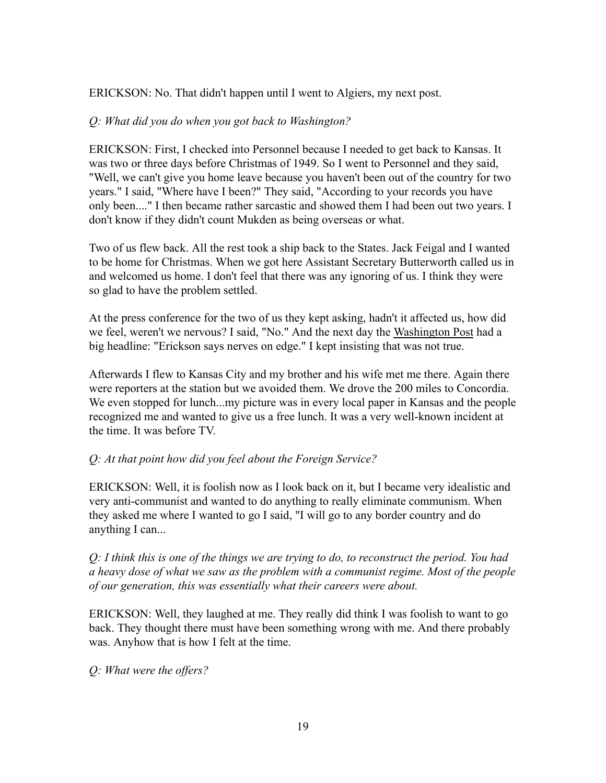#### ERICKSON: No. That didn't happen until I went to Algiers, my next post.

#### *Q: What did you do when you got back to Washington?*

ERICKSON: First, I checked into Personnel because I needed to get back to Kansas. It was two or three days before Christmas of 1949. So I went to Personnel and they said, "Well, we can't give you home leave because you haven't been out of the country for two years." I said, "Where have I been?" They said, "According to your records you have only been...." I then became rather sarcastic and showed them I had been out two years. I don't know if they didn't count Mukden as being overseas or what.

Two of us flew back. All the rest took a ship back to the States. Jack Feigal and I wanted to be home for Christmas. When we got here Assistant Secretary Butterworth called us in and welcomed us home. I don't feel that there was any ignoring of us. I think they were so glad to have the problem settled.

At the press conference for the two of us they kept asking, hadn't it affected us, how did we feel, weren't we nervous? I said, "No." And the next day the Washington Post had a big headline: "Erickson says nerves on edge." I kept insisting that was not true.

Afterwards I flew to Kansas City and my brother and his wife met me there. Again there were reporters at the station but we avoided them. We drove the 200 miles to Concordia. We even stopped for lunch...my picture was in every local paper in Kansas and the people recognized me and wanted to give us a free lunch. It was a very well-known incident at the time. It was before TV.

### *Q: At that point how did you feel about the Foreign Service?*

ERICKSON: Well, it is foolish now as I look back on it, but I became very idealistic and very anti-communist and wanted to do anything to really eliminate communism. When they asked me where I wanted to go I said, "I will go to any border country and do anything I can...

*Q: I think this is one of the things we are trying to do, to reconstruct the period. You had a heavy dose of what we saw as the problem with a communist regime. Most of the people of our generation, this was essentially what their careers were about.*

ERICKSON: Well, they laughed at me. They really did think I was foolish to want to go back. They thought there must have been something wrong with me. And there probably was. Anyhow that is how I felt at the time.

*Q: What were the offers?*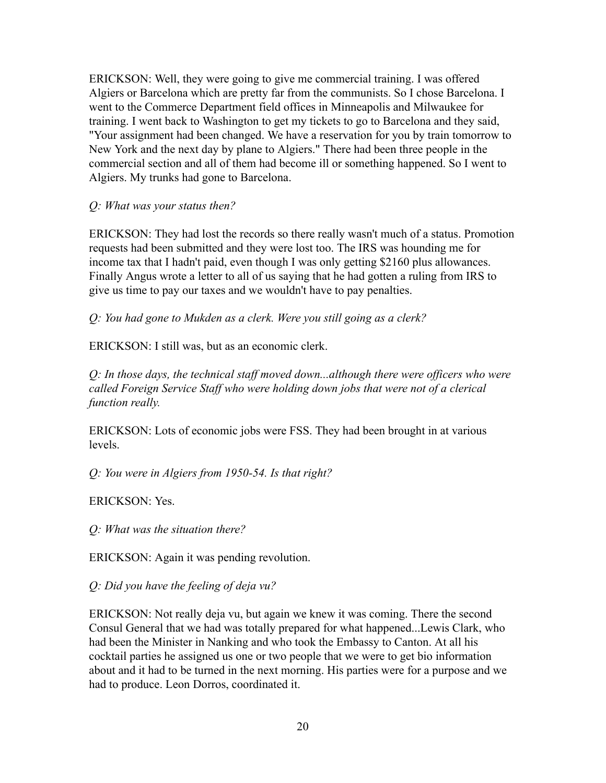ERICKSON: Well, they were going to give me commercial training. I was offered Algiers or Barcelona which are pretty far from the communists. So I chose Barcelona. I went to the Commerce Department field offices in Minneapolis and Milwaukee for training. I went back to Washington to get my tickets to go to Barcelona and they said, "Your assignment had been changed. We have a reservation for you by train tomorrow to New York and the next day by plane to Algiers." There had been three people in the commercial section and all of them had become ill or something happened. So I went to Algiers. My trunks had gone to Barcelona.

*Q: What was your status then?*

ERICKSON: They had lost the records so there really wasn't much of a status. Promotion requests had been submitted and they were lost too. The IRS was hounding me for income tax that I hadn't paid, even though I was only getting \$2160 plus allowances. Finally Angus wrote a letter to all of us saying that he had gotten a ruling from IRS to give us time to pay our taxes and we wouldn't have to pay penalties.

*Q: You had gone to Mukden as a clerk. Were you still going as a clerk?*

ERICKSON: I still was, but as an economic clerk.

*Q: In those days, the technical staff moved down...although there were officers who were called Foreign Service Staff who were holding down jobs that were not of a clerical function really.*

ERICKSON: Lots of economic jobs were FSS. They had been brought in at various levels.

*Q: You were in Algiers from 1950-54. Is that right?*

ERICKSON: Yes.

*Q: What was the situation there?*

ERICKSON: Again it was pending revolution.

*Q: Did you have the feeling of deja vu?*

ERICKSON: Not really deja vu, but again we knew it was coming. There the second Consul General that we had was totally prepared for what happened...Lewis Clark, who had been the Minister in Nanking and who took the Embassy to Canton. At all his cocktail parties he assigned us one or two people that we were to get bio information about and it had to be turned in the next morning. His parties were for a purpose and we had to produce. Leon Dorros, coordinated it.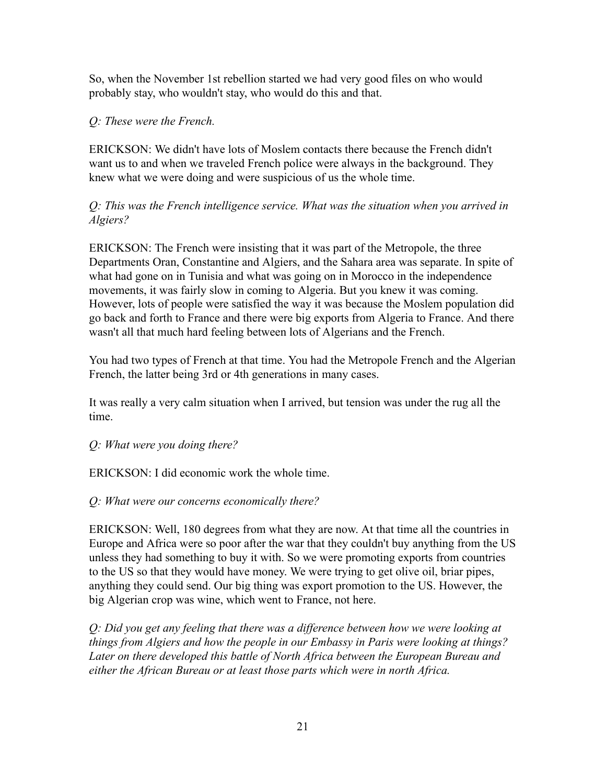So, when the November 1st rebellion started we had very good files on who would probably stay, who wouldn't stay, who would do this and that.

# *Q: These were the French.*

ERICKSON: We didn't have lots of Moslem contacts there because the French didn't want us to and when we traveled French police were always in the background. They knew what we were doing and were suspicious of us the whole time.

# *Q: This was the French intelligence service. What was the situation when you arrived in Algiers?*

ERICKSON: The French were insisting that it was part of the Metropole, the three Departments Oran, Constantine and Algiers, and the Sahara area was separate. In spite of what had gone on in Tunisia and what was going on in Morocco in the independence movements, it was fairly slow in coming to Algeria. But you knew it was coming. However, lots of people were satisfied the way it was because the Moslem population did go back and forth to France and there were big exports from Algeria to France. And there wasn't all that much hard feeling between lots of Algerians and the French.

You had two types of French at that time. You had the Metropole French and the Algerian French, the latter being 3rd or 4th generations in many cases.

It was really a very calm situation when I arrived, but tension was under the rug all the time.

### *Q: What were you doing there?*

ERICKSON: I did economic work the whole time.

# *Q: What were our concerns economically there?*

ERICKSON: Well, 180 degrees from what they are now. At that time all the countries in Europe and Africa were so poor after the war that they couldn't buy anything from the US unless they had something to buy it with. So we were promoting exports from countries to the US so that they would have money. We were trying to get olive oil, briar pipes, anything they could send. Our big thing was export promotion to the US. However, the big Algerian crop was wine, which went to France, not here.

*Q: Did you get any feeling that there was a difference between how we were looking at things from Algiers and how the people in our Embassy in Paris were looking at things? Later on there developed this battle of North Africa between the European Bureau and either the African Bureau or at least those parts which were in north Africa.*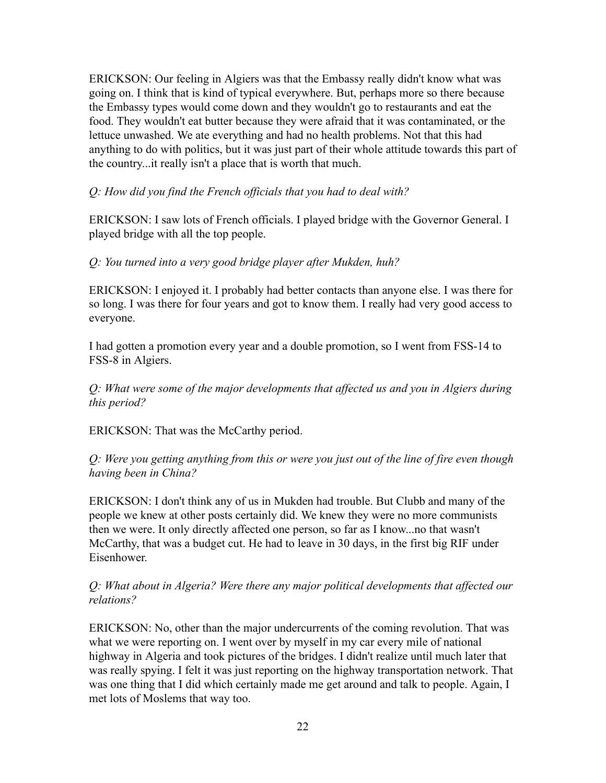ERICKSON: Our feeling in Algiers was that the Embassy really didn't know what was going on. I think that is kind of typical everywhere. But, perhaps more so there because the Embassy types would come down and they wouldn't go to restaurants and eat the food. They wouldn't eat butter because they were afraid that it was contaminated, or the lettuce unwashed. We ate everything and had no health problems. Not that this had anything to do with politics, but it was just part of their whole attitude towards this part of the country...it really isn't a place that is worth that much.

### *Q: How did you find the French officials that you had to deal with?*

ERICKSON: I saw lots of French officials. I played bridge with the Governor General. I played bridge with all the top people.

#### *Q: You turned into a very good bridge player after Mukden, huh?*

ERICKSON: I enjoyed it. I probably had better contacts than anyone else. I was there for so long. I was there for four years and got to know them. I really had very good access to everyone.

I had gotten a promotion every year and a double promotion, so I went from FSS-14 to FSS-8 in Algiers.

*Q: What were some of the major developments that affected us and you in Algiers during this period?*

ERICKSON: That was the McCarthy period.

*Q: Were you getting anything from this or were you just out of the line of fire even though having been in China?*

ERICKSON: I don't think any of us in Mukden had trouble. But Clubb and many of the people we knew at other posts certainly did. We knew they were no more communists then we were. It only directly affected one person, so far as I know...no that wasn't McCarthy, that was a budget cut. He had to leave in 30 days, in the first big RIF under Eisenhower.

### *Q: What about in Algeria? Were there any major political developments that affected our relations?*

ERICKSON: No, other than the major undercurrents of the coming revolution. That was what we were reporting on. I went over by myself in my car every mile of national highway in Algeria and took pictures of the bridges. I didn't realize until much later that was really spying. I felt it was just reporting on the highway transportation network. That was one thing that I did which certainly made me get around and talk to people. Again, I met lots of Moslems that way too.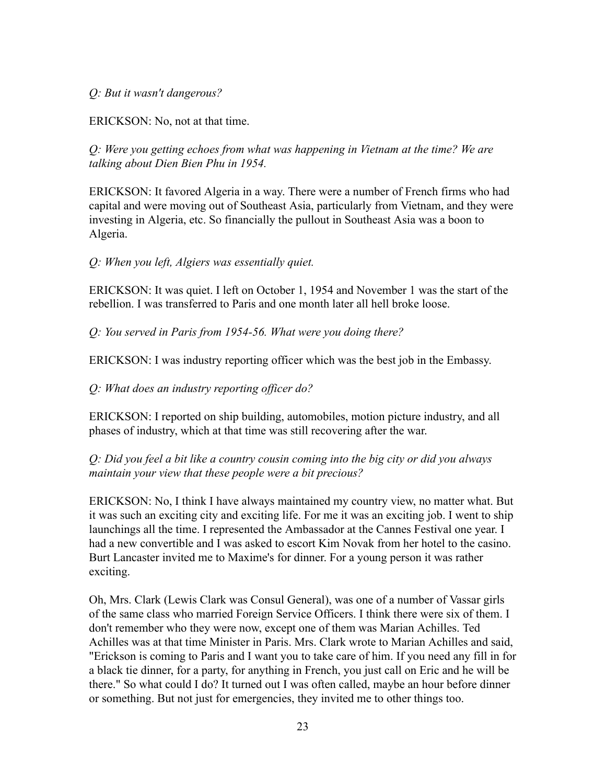#### *Q: But it wasn't dangerous?*

ERICKSON: No, not at that time.

*Q: Were you getting echoes from what was happening in Vietnam at the time? We are talking about Dien Bien Phu in 1954.*

ERICKSON: It favored Algeria in a way. There were a number of French firms who had capital and were moving out of Southeast Asia, particularly from Vietnam, and they were investing in Algeria, etc. So financially the pullout in Southeast Asia was a boon to Algeria.

*Q: When you left, Algiers was essentially quiet.*

ERICKSON: It was quiet. I left on October 1, 1954 and November 1 was the start of the rebellion. I was transferred to Paris and one month later all hell broke loose.

*Q: You served in Paris from 1954-56. What were you doing there?*

ERICKSON: I was industry reporting officer which was the best job in the Embassy.

*Q: What does an industry reporting officer do?*

ERICKSON: I reported on ship building, automobiles, motion picture industry, and all phases of industry, which at that time was still recovering after the war.

### *Q: Did you feel a bit like a country cousin coming into the big city or did you always maintain your view that these people were a bit precious?*

ERICKSON: No, I think I have always maintained my country view, no matter what. But it was such an exciting city and exciting life. For me it was an exciting job. I went to ship launchings all the time. I represented the Ambassador at the Cannes Festival one year. I had a new convertible and I was asked to escort Kim Novak from her hotel to the casino. Burt Lancaster invited me to Maxime's for dinner. For a young person it was rather exciting.

Oh, Mrs. Clark (Lewis Clark was Consul General), was one of a number of Vassar girls of the same class who married Foreign Service Officers. I think there were six of them. I don't remember who they were now, except one of them was Marian Achilles. Ted Achilles was at that time Minister in Paris. Mrs. Clark wrote to Marian Achilles and said, "Erickson is coming to Paris and I want you to take care of him. If you need any fill in for a black tie dinner, for a party, for anything in French, you just call on Eric and he will be there." So what could I do? It turned out I was often called, maybe an hour before dinner or something. But not just for emergencies, they invited me to other things too.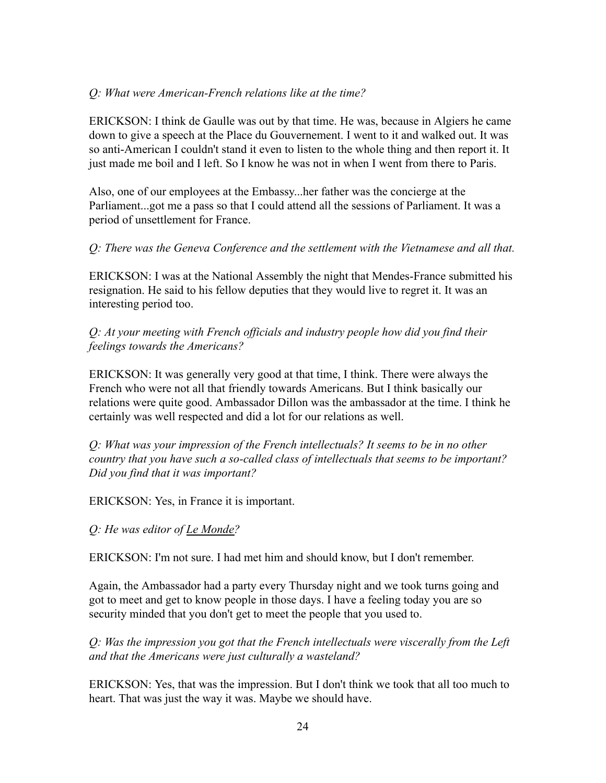#### *Q: What were American-French relations like at the time?*

ERICKSON: I think de Gaulle was out by that time. He was, because in Algiers he came down to give a speech at the Place du Gouvernement. I went to it and walked out. It was so anti-American I couldn't stand it even to listen to the whole thing and then report it. It just made me boil and I left. So I know he was not in when I went from there to Paris.

Also, one of our employees at the Embassy...her father was the concierge at the Parliament...got me a pass so that I could attend all the sessions of Parliament. It was a period of unsettlement for France.

*Q: There was the Geneva Conference and the settlement with the Vietnamese and all that.*

ERICKSON: I was at the National Assembly the night that Mendes-France submitted his resignation. He said to his fellow deputies that they would live to regret it. It was an interesting period too.

*Q: At your meeting with French officials and industry people how did you find their feelings towards the Americans?*

ERICKSON: It was generally very good at that time, I think. There were always the French who were not all that friendly towards Americans. But I think basically our relations were quite good. Ambassador Dillon was the ambassador at the time. I think he certainly was well respected and did a lot for our relations as well.

*Q: What was your impression of the French intellectuals? It seems to be in no other country that you have such a so-called class of intellectuals that seems to be important? Did you find that it was important?*

ERICKSON: Yes, in France it is important.

*Q: He was editor of Le Monde?*

ERICKSON: I'm not sure. I had met him and should know, but I don't remember.

Again, the Ambassador had a party every Thursday night and we took turns going and got to meet and get to know people in those days. I have a feeling today you are so security minded that you don't get to meet the people that you used to.

*Q: Was the impression you got that the French intellectuals were viscerally from the Left and that the Americans were just culturally a wasteland?*

ERICKSON: Yes, that was the impression. But I don't think we took that all too much to heart. That was just the way it was. Maybe we should have.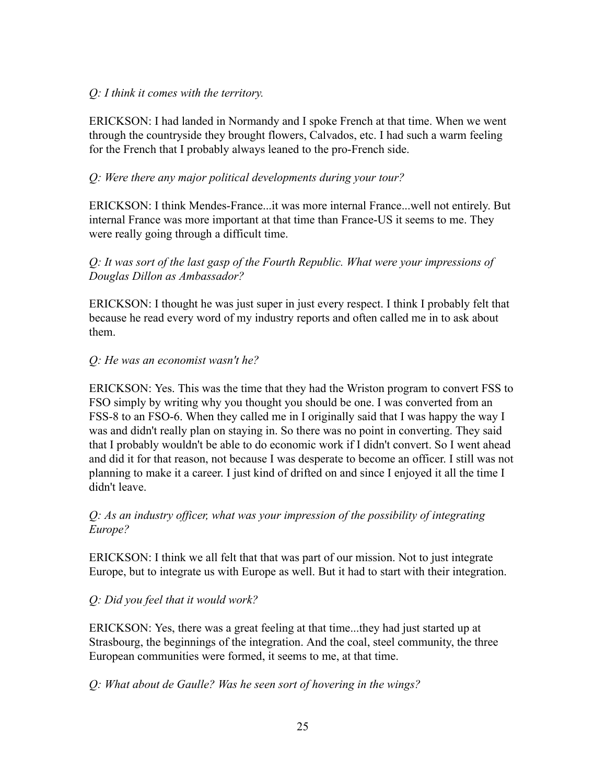## *Q: I think it comes with the territory.*

ERICKSON: I had landed in Normandy and I spoke French at that time. When we went through the countryside they brought flowers, Calvados, etc. I had such a warm feeling for the French that I probably always leaned to the pro-French side.

# *Q: Were there any major political developments during your tour?*

ERICKSON: I think Mendes-France...it was more internal France...well not entirely. But internal France was more important at that time than France-US it seems to me. They were really going through a difficult time.

# *Q: It was sort of the last gasp of the Fourth Republic. What were your impressions of Douglas Dillon as Ambassador?*

ERICKSON: I thought he was just super in just every respect. I think I probably felt that because he read every word of my industry reports and often called me in to ask about them.

# *Q: He was an economist wasn't he?*

ERICKSON: Yes. This was the time that they had the Wriston program to convert FSS to FSO simply by writing why you thought you should be one. I was converted from an FSS-8 to an FSO-6. When they called me in I originally said that I was happy the way I was and didn't really plan on staying in. So there was no point in converting. They said that I probably wouldn't be able to do economic work if I didn't convert. So I went ahead and did it for that reason, not because I was desperate to become an officer. I still was not planning to make it a career. I just kind of drifted on and since I enjoyed it all the time I didn't leave.

### *Q: As an industry officer, what was your impression of the possibility of integrating Europe?*

ERICKSON: I think we all felt that that was part of our mission. Not to just integrate Europe, but to integrate us with Europe as well. But it had to start with their integration.

### *Q: Did you feel that it would work?*

ERICKSON: Yes, there was a great feeling at that time...they had just started up at Strasbourg, the beginnings of the integration. And the coal, steel community, the three European communities were formed, it seems to me, at that time.

### *Q: What about de Gaulle? Was he seen sort of hovering in the wings?*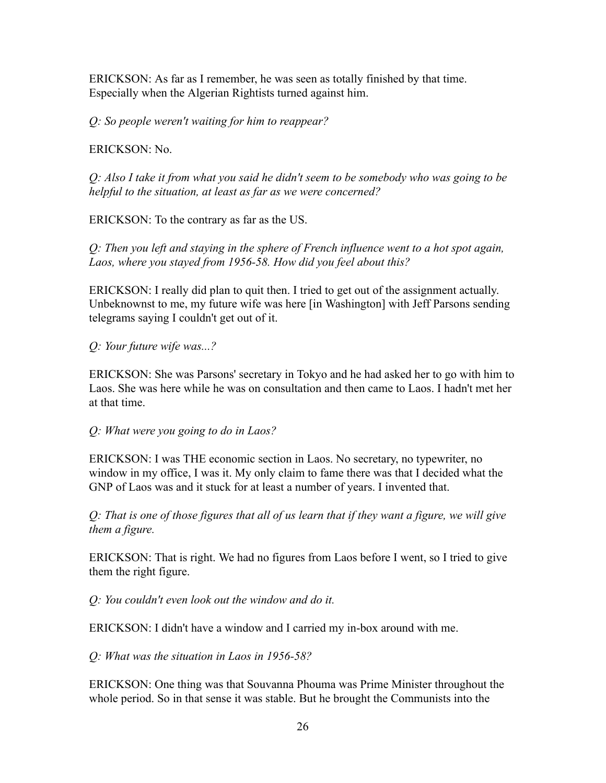ERICKSON: As far as I remember, he was seen as totally finished by that time. Especially when the Algerian Rightists turned against him.

*Q: So people weren't waiting for him to reappear?*

ERICKSON: No.

*Q: Also I take it from what you said he didn't seem to be somebody who was going to be helpful to the situation, at least as far as we were concerned?*

ERICKSON: To the contrary as far as the US.

*Q: Then you left and staying in the sphere of French influence went to a hot spot again, Laos, where you stayed from 1956-58. How did you feel about this?*

ERICKSON: I really did plan to quit then. I tried to get out of the assignment actually. Unbeknownst to me, my future wife was here [in Washington] with Jeff Parsons sending telegrams saying I couldn't get out of it.

*Q: Your future wife was...?*

ERICKSON: She was Parsons' secretary in Tokyo and he had asked her to go with him to Laos. She was here while he was on consultation and then came to Laos. I hadn't met her at that time.

*Q: What were you going to do in Laos?*

ERICKSON: I was THE economic section in Laos. No secretary, no typewriter, no window in my office, I was it. My only claim to fame there was that I decided what the GNP of Laos was and it stuck for at least a number of years. I invented that.

*Q: That is one of those figures that all of us learn that if they want a figure, we will give them a figure.*

ERICKSON: That is right. We had no figures from Laos before I went, so I tried to give them the right figure.

*Q: You couldn't even look out the window and do it.*

ERICKSON: I didn't have a window and I carried my in-box around with me.

*Q: What was the situation in Laos in 1956-58?*

ERICKSON: One thing was that Souvanna Phouma was Prime Minister throughout the whole period. So in that sense it was stable. But he brought the Communists into the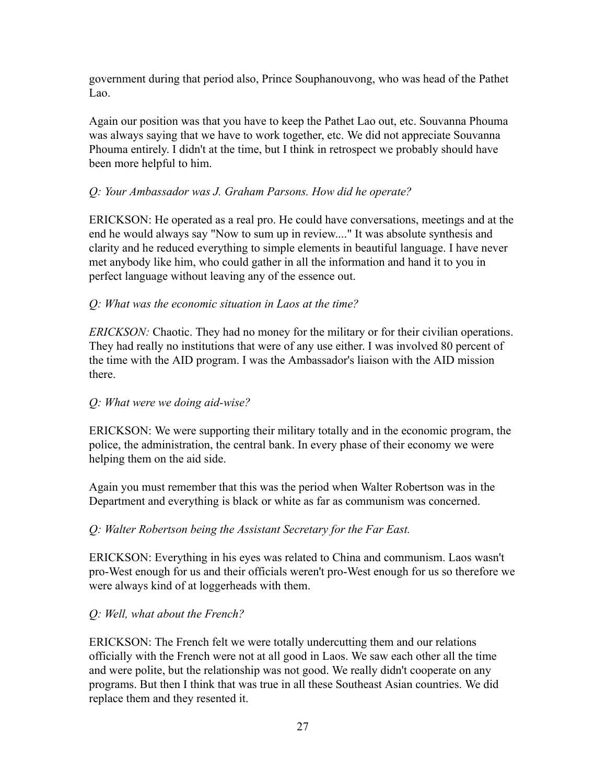government during that period also, Prince Souphanouvong, who was head of the Pathet Lao.

Again our position was that you have to keep the Pathet Lao out, etc. Souvanna Phouma was always saying that we have to work together, etc. We did not appreciate Souvanna Phouma entirely. I didn't at the time, but I think in retrospect we probably should have been more helpful to him.

## *Q: Your Ambassador was J. Graham Parsons. How did he operate?*

ERICKSON: He operated as a real pro. He could have conversations, meetings and at the end he would always say "Now to sum up in review...." It was absolute synthesis and clarity and he reduced everything to simple elements in beautiful language. I have never met anybody like him, who could gather in all the information and hand it to you in perfect language without leaving any of the essence out.

### *Q: What was the economic situation in Laos at the time?*

*ERICKSON:* Chaotic. They had no money for the military or for their civilian operations. They had really no institutions that were of any use either. I was involved 80 percent of the time with the AID program. I was the Ambassador's liaison with the AID mission there.

### *Q: What were we doing aid-wise?*

ERICKSON: We were supporting their military totally and in the economic program, the police, the administration, the central bank. In every phase of their economy we were helping them on the aid side.

Again you must remember that this was the period when Walter Robertson was in the Department and everything is black or white as far as communism was concerned.

### *Q: Walter Robertson being the Assistant Secretary for the Far East.*

ERICKSON: Everything in his eyes was related to China and communism. Laos wasn't pro-West enough for us and their officials weren't pro-West enough for us so therefore we were always kind of at loggerheads with them.

### *Q: Well, what about the French?*

ERICKSON: The French felt we were totally undercutting them and our relations officially with the French were not at all good in Laos. We saw each other all the time and were polite, but the relationship was not good. We really didn't cooperate on any programs. But then I think that was true in all these Southeast Asian countries. We did replace them and they resented it.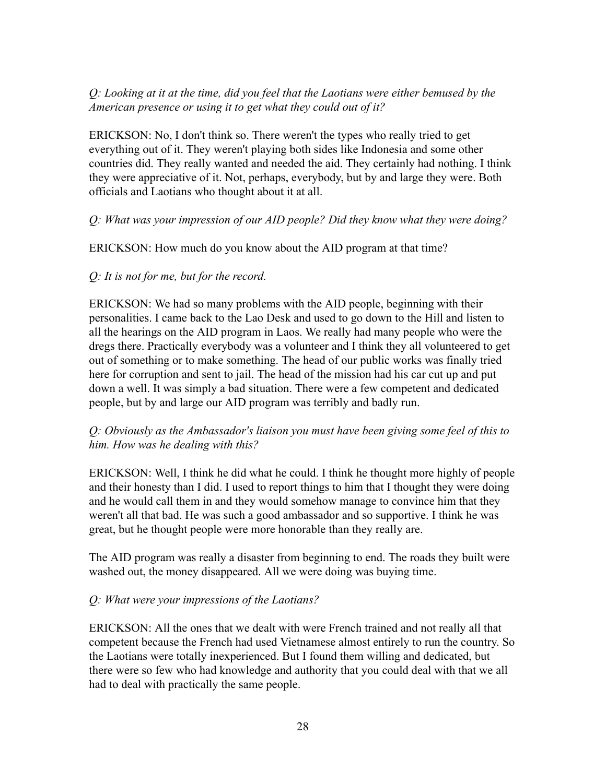## *Q: Looking at it at the time, did you feel that the Laotians were either bemused by the American presence or using it to get what they could out of it?*

ERICKSON: No, I don't think so. There weren't the types who really tried to get everything out of it. They weren't playing both sides like Indonesia and some other countries did. They really wanted and needed the aid. They certainly had nothing. I think they were appreciative of it. Not, perhaps, everybody, but by and large they were. Both officials and Laotians who thought about it at all.

#### *Q: What was your impression of our AID people? Did they know what they were doing?*

ERICKSON: How much do you know about the AID program at that time?

#### *Q: It is not for me, but for the record.*

ERICKSON: We had so many problems with the AID people, beginning with their personalities. I came back to the Lao Desk and used to go down to the Hill and listen to all the hearings on the AID program in Laos. We really had many people who were the dregs there. Practically everybody was a volunteer and I think they all volunteered to get out of something or to make something. The head of our public works was finally tried here for corruption and sent to jail. The head of the mission had his car cut up and put down a well. It was simply a bad situation. There were a few competent and dedicated people, but by and large our AID program was terribly and badly run.

### *Q: Obviously as the Ambassador's liaison you must have been giving some feel of this to him. How was he dealing with this?*

ERICKSON: Well, I think he did what he could. I think he thought more highly of people and their honesty than I did. I used to report things to him that I thought they were doing and he would call them in and they would somehow manage to convince him that they weren't all that bad. He was such a good ambassador and so supportive. I think he was great, but he thought people were more honorable than they really are.

The AID program was really a disaster from beginning to end. The roads they built were washed out, the money disappeared. All we were doing was buying time.

### *Q: What were your impressions of the Laotians?*

ERICKSON: All the ones that we dealt with were French trained and not really all that competent because the French had used Vietnamese almost entirely to run the country. So the Laotians were totally inexperienced. But I found them willing and dedicated, but there were so few who had knowledge and authority that you could deal with that we all had to deal with practically the same people.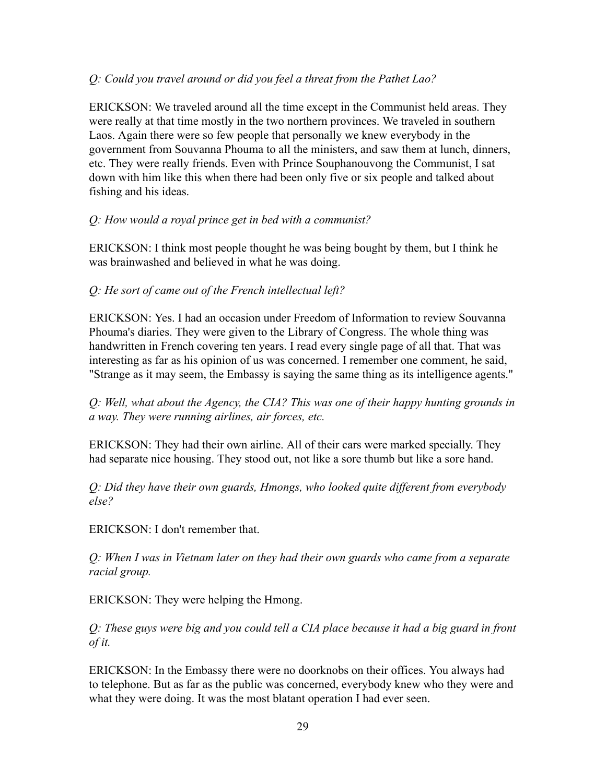### *Q: Could you travel around or did you feel a threat from the Pathet Lao?*

ERICKSON: We traveled around all the time except in the Communist held areas. They were really at that time mostly in the two northern provinces. We traveled in southern Laos. Again there were so few people that personally we knew everybody in the government from Souvanna Phouma to all the ministers, and saw them at lunch, dinners, etc. They were really friends. Even with Prince Souphanouvong the Communist, I sat down with him like this when there had been only five or six people and talked about fishing and his ideas.

### *Q: How would a royal prince get in bed with a communist?*

ERICKSON: I think most people thought he was being bought by them, but I think he was brainwashed and believed in what he was doing.

### *Q: He sort of came out of the French intellectual left?*

ERICKSON: Yes. I had an occasion under Freedom of Information to review Souvanna Phouma's diaries. They were given to the Library of Congress. The whole thing was handwritten in French covering ten years. I read every single page of all that. That was interesting as far as his opinion of us was concerned. I remember one comment, he said, "Strange as it may seem, the Embassy is saying the same thing as its intelligence agents."

*Q: Well, what about the Agency, the CIA? This was one of their happy hunting grounds in a way. They were running airlines, air forces, etc.*

ERICKSON: They had their own airline. All of their cars were marked specially. They had separate nice housing. They stood out, not like a sore thumb but like a sore hand.

*Q: Did they have their own guards, Hmongs, who looked quite different from everybody else?*

ERICKSON: I don't remember that.

*Q: When I was in Vietnam later on they had their own guards who came from a separate racial group.*

ERICKSON: They were helping the Hmong.

*Q: These guys were big and you could tell a CIA place because it had a big guard in front of it.*

ERICKSON: In the Embassy there were no doorknobs on their offices. You always had to telephone. But as far as the public was concerned, everybody knew who they were and what they were doing. It was the most blatant operation I had ever seen.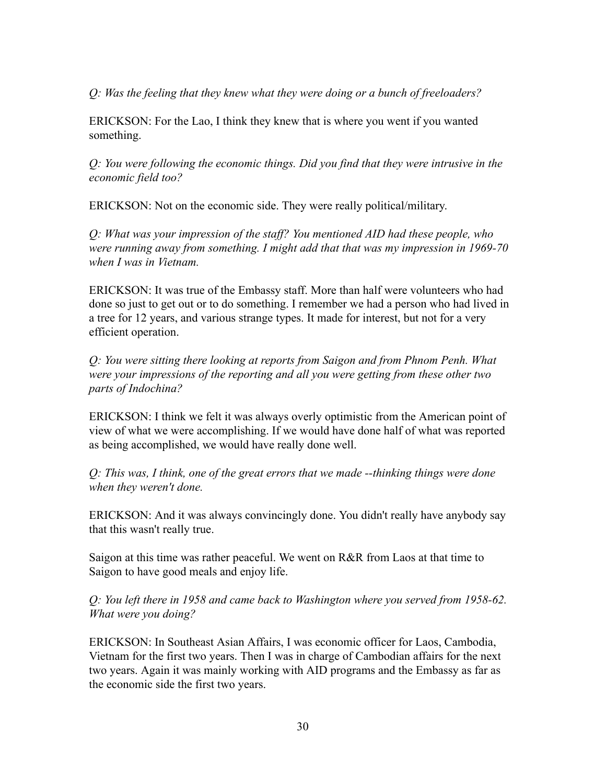*Q: Was the feeling that they knew what they were doing or a bunch of freeloaders?*

ERICKSON: For the Lao, I think they knew that is where you went if you wanted something.

*Q: You were following the economic things. Did you find that they were intrusive in the economic field too?*

ERICKSON: Not on the economic side. They were really political/military.

*Q: What was your impression of the staff? You mentioned AID had these people, who were running away from something. I might add that that was my impression in 1969-70 when I was in Vietnam.*

ERICKSON: It was true of the Embassy staff. More than half were volunteers who had done so just to get out or to do something. I remember we had a person who had lived in a tree for 12 years, and various strange types. It made for interest, but not for a very efficient operation.

*Q: You were sitting there looking at reports from Saigon and from Phnom Penh. What were your impressions of the reporting and all you were getting from these other two parts of Indochina?*

ERICKSON: I think we felt it was always overly optimistic from the American point of view of what we were accomplishing. If we would have done half of what was reported as being accomplished, we would have really done well.

*Q: This was, I think, one of the great errors that we made --thinking things were done when they weren't done.*

ERICKSON: And it was always convincingly done. You didn't really have anybody say that this wasn't really true.

Saigon at this time was rather peaceful. We went on R&R from Laos at that time to Saigon to have good meals and enjoy life.

*Q: You left there in 1958 and came back to Washington where you served from 1958-62. What were you doing?*

ERICKSON: In Southeast Asian Affairs, I was economic officer for Laos, Cambodia, Vietnam for the first two years. Then I was in charge of Cambodian affairs for the next two years. Again it was mainly working with AID programs and the Embassy as far as the economic side the first two years.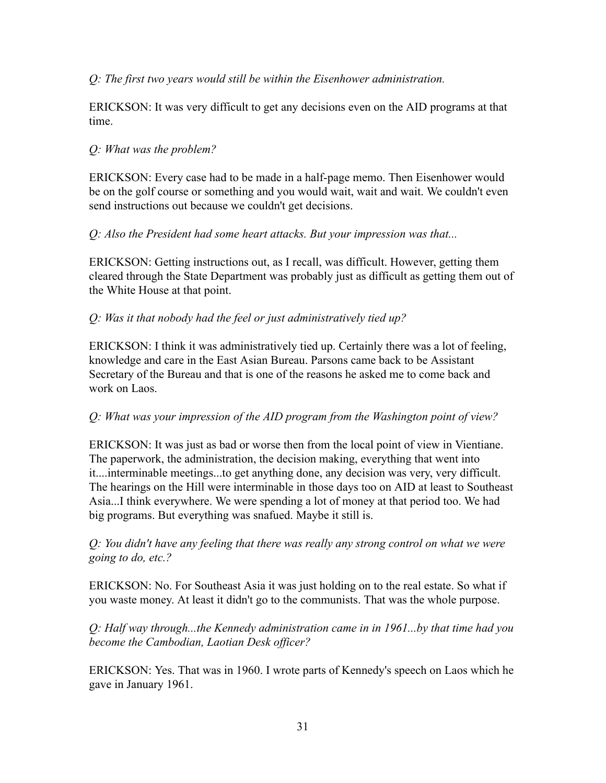## *Q: The first two years would still be within the Eisenhower administration.*

ERICKSON: It was very difficult to get any decisions even on the AID programs at that time.

## *Q: What was the problem?*

ERICKSON: Every case had to be made in a half-page memo. Then Eisenhower would be on the golf course or something and you would wait, wait and wait. We couldn't even send instructions out because we couldn't get decisions.

### *Q: Also the President had some heart attacks. But your impression was that...*

ERICKSON: Getting instructions out, as I recall, was difficult. However, getting them cleared through the State Department was probably just as difficult as getting them out of the White House at that point.

# *Q: Was it that nobody had the feel or just administratively tied up?*

ERICKSON: I think it was administratively tied up. Certainly there was a lot of feeling, knowledge and care in the East Asian Bureau. Parsons came back to be Assistant Secretary of the Bureau and that is one of the reasons he asked me to come back and work on Laos.

### *Q: What was your impression of the AID program from the Washington point of view?*

ERICKSON: It was just as bad or worse then from the local point of view in Vientiane. The paperwork, the administration, the decision making, everything that went into it....interminable meetings...to get anything done, any decision was very, very difficult. The hearings on the Hill were interminable in those days too on AID at least to Southeast Asia...I think everywhere. We were spending a lot of money at that period too. We had big programs. But everything was snafued. Maybe it still is.

*Q: You didn't have any feeling that there was really any strong control on what we were going to do, etc.?*

ERICKSON: No. For Southeast Asia it was just holding on to the real estate. So what if you waste money. At least it didn't go to the communists. That was the whole purpose.

*Q: Half way through...the Kennedy administration came in in 1961...by that time had you become the Cambodian, Laotian Desk officer?*

ERICKSON: Yes. That was in 1960. I wrote parts of Kennedy's speech on Laos which he gave in January 1961.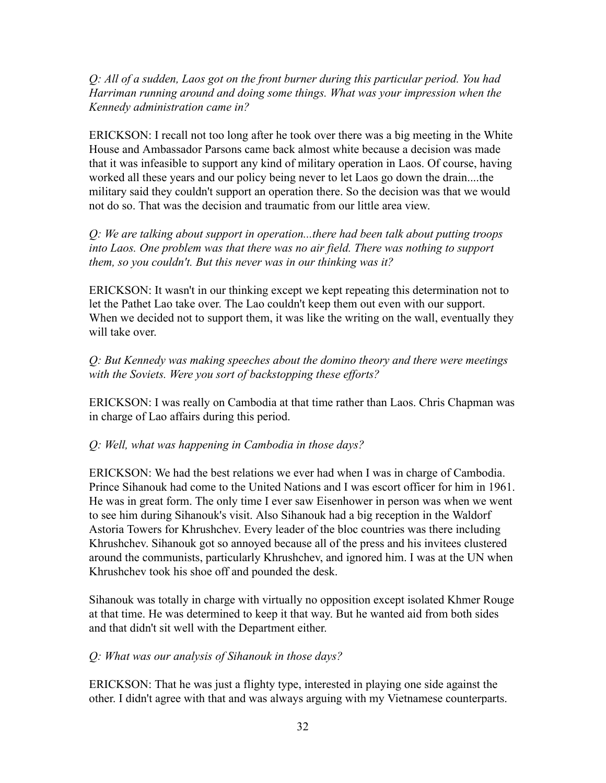*Q: All of a sudden, Laos got on the front burner during this particular period. You had Harriman running around and doing some things. What was your impression when the Kennedy administration came in?*

ERICKSON: I recall not too long after he took over there was a big meeting in the White House and Ambassador Parsons came back almost white because a decision was made that it was infeasible to support any kind of military operation in Laos. Of course, having worked all these years and our policy being never to let Laos go down the drain....the military said they couldn't support an operation there. So the decision was that we would not do so. That was the decision and traumatic from our little area view.

*Q: We are talking about support in operation...there had been talk about putting troops into Laos. One problem was that there was no air field. There was nothing to support them, so you couldn't. But this never was in our thinking was it?*

ERICKSON: It wasn't in our thinking except we kept repeating this determination not to let the Pathet Lao take over. The Lao couldn't keep them out even with our support. When we decided not to support them, it was like the writing on the wall, eventually they will take over.

*Q: But Kennedy was making speeches about the domino theory and there were meetings with the Soviets. Were you sort of backstopping these efforts?*

ERICKSON: I was really on Cambodia at that time rather than Laos. Chris Chapman was in charge of Lao affairs during this period.

#### *Q: Well, what was happening in Cambodia in those days?*

ERICKSON: We had the best relations we ever had when I was in charge of Cambodia. Prince Sihanouk had come to the United Nations and I was escort officer for him in 1961. He was in great form. The only time I ever saw Eisenhower in person was when we went to see him during Sihanouk's visit. Also Sihanouk had a big reception in the Waldorf Astoria Towers for Khrushchev. Every leader of the bloc countries was there including Khrushchev. Sihanouk got so annoyed because all of the press and his invitees clustered around the communists, particularly Khrushchev, and ignored him. I was at the UN when Khrushchev took his shoe off and pounded the desk.

Sihanouk was totally in charge with virtually no opposition except isolated Khmer Rouge at that time. He was determined to keep it that way. But he wanted aid from both sides and that didn't sit well with the Department either.

#### *Q: What was our analysis of Sihanouk in those days?*

ERICKSON: That he was just a flighty type, interested in playing one side against the other. I didn't agree with that and was always arguing with my Vietnamese counterparts.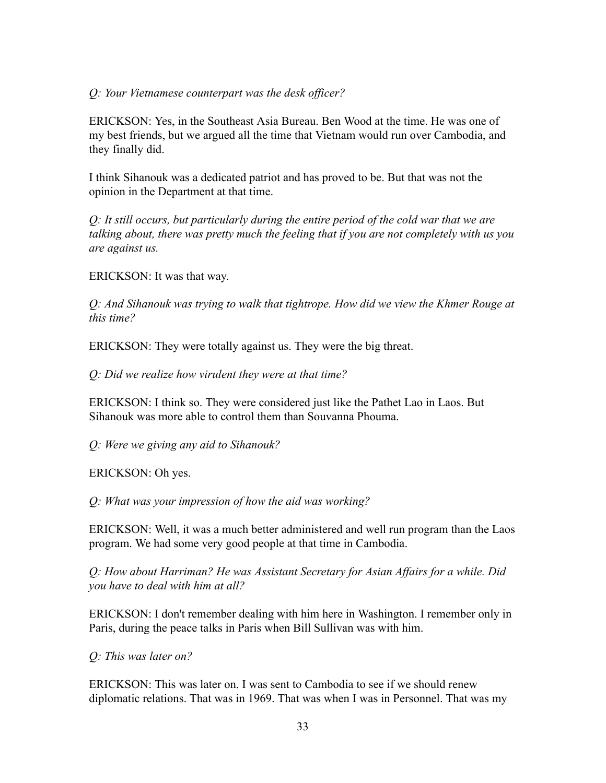#### *Q: Your Vietnamese counterpart was the desk officer?*

ERICKSON: Yes, in the Southeast Asia Bureau. Ben Wood at the time. He was one of my best friends, but we argued all the time that Vietnam would run over Cambodia, and they finally did.

I think Sihanouk was a dedicated patriot and has proved to be. But that was not the opinion in the Department at that time.

*Q: It still occurs, but particularly during the entire period of the cold war that we are talking about, there was pretty much the feeling that if you are not completely with us you are against us.*

ERICKSON: It was that way.

*Q: And Sihanouk was trying to walk that tightrope. How did we view the Khmer Rouge at this time?*

ERICKSON: They were totally against us. They were the big threat.

*Q: Did we realize how virulent they were at that time?*

ERICKSON: I think so. They were considered just like the Pathet Lao in Laos. But Sihanouk was more able to control them than Souvanna Phouma.

*Q: Were we giving any aid to Sihanouk?*

ERICKSON: Oh yes.

*Q: What was your impression of how the aid was working?*

ERICKSON: Well, it was a much better administered and well run program than the Laos program. We had some very good people at that time in Cambodia.

*Q: How about Harriman? He was Assistant Secretary for Asian Affairs for a while. Did you have to deal with him at all?*

ERICKSON: I don't remember dealing with him here in Washington. I remember only in Paris, during the peace talks in Paris when Bill Sullivan was with him.

*Q: This was later on?*

ERICKSON: This was later on. I was sent to Cambodia to see if we should renew diplomatic relations. That was in 1969. That was when I was in Personnel. That was my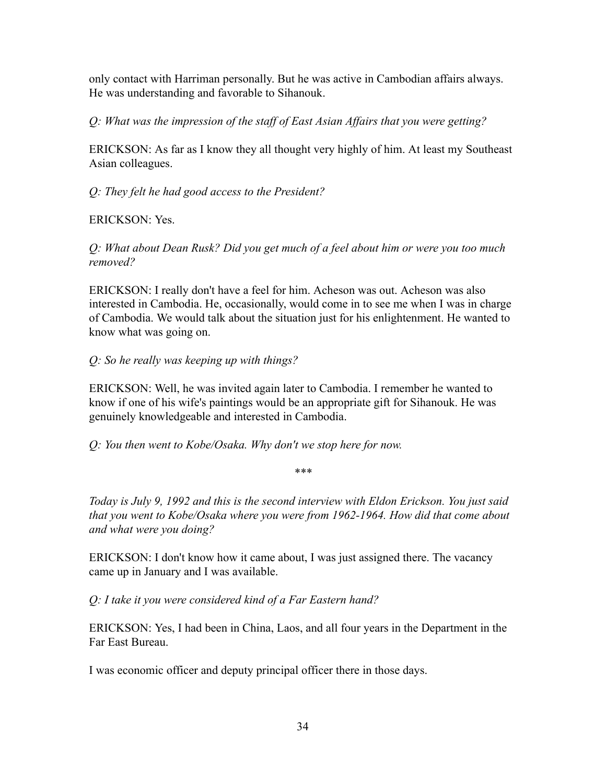only contact with Harriman personally. But he was active in Cambodian affairs always. He was understanding and favorable to Sihanouk.

*Q: What was the impression of the staff of East Asian Affairs that you were getting?*

ERICKSON: As far as I know they all thought very highly of him. At least my Southeast Asian colleagues.

*Q: They felt he had good access to the President?*

ERICKSON: Yes.

*Q: What about Dean Rusk? Did you get much of a feel about him or were you too much removed?*

ERICKSON: I really don't have a feel for him. Acheson was out. Acheson was also interested in Cambodia. He, occasionally, would come in to see me when I was in charge of Cambodia. We would talk about the situation just for his enlightenment. He wanted to know what was going on.

### *Q: So he really was keeping up with things?*

ERICKSON: Well, he was invited again later to Cambodia. I remember he wanted to know if one of his wife's paintings would be an appropriate gift for Sihanouk. He was genuinely knowledgeable and interested in Cambodia.

*Q: You then went to Kobe/Osaka. Why don't we stop here for now.*

*\*\*\**

*Today is July 9, 1992 and this is the second interview with Eldon Erickson. You just said that you went to Kobe/Osaka where you were from 1962-1964. How did that come about and what were you doing?*

ERICKSON: I don't know how it came about, I was just assigned there. The vacancy came up in January and I was available.

*Q: I take it you were considered kind of a Far Eastern hand?*

ERICKSON: Yes, I had been in China, Laos, and all four years in the Department in the Far East Bureau.

I was economic officer and deputy principal officer there in those days.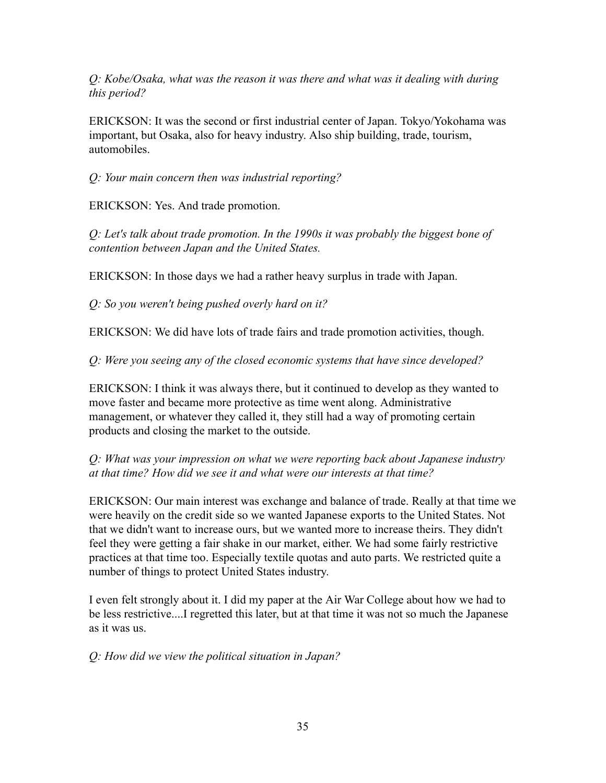*Q: Kobe/Osaka, what was the reason it was there and what was it dealing with during this period?*

ERICKSON: It was the second or first industrial center of Japan. Tokyo/Yokohama was important, but Osaka, also for heavy industry. Also ship building, trade, tourism, automobiles.

*Q: Your main concern then was industrial reporting?*

ERICKSON: Yes. And trade promotion.

*Q: Let's talk about trade promotion. In the 1990s it was probably the biggest bone of contention between Japan and the United States.*

ERICKSON: In those days we had a rather heavy surplus in trade with Japan.

*Q: So you weren't being pushed overly hard on it?*

ERICKSON: We did have lots of trade fairs and trade promotion activities, though.

*Q: Were you seeing any of the closed economic systems that have since developed?*

ERICKSON: I think it was always there, but it continued to develop as they wanted to move faster and became more protective as time went along. Administrative management, or whatever they called it, they still had a way of promoting certain products and closing the market to the outside.

*Q: What was your impression on what we were reporting back about Japanese industry at that time? How did we see it and what were our interests at that time?*

ERICKSON: Our main interest was exchange and balance of trade. Really at that time we were heavily on the credit side so we wanted Japanese exports to the United States. Not that we didn't want to increase ours, but we wanted more to increase theirs. They didn't feel they were getting a fair shake in our market, either. We had some fairly restrictive practices at that time too. Especially textile quotas and auto parts. We restricted quite a number of things to protect United States industry.

I even felt strongly about it. I did my paper at the Air War College about how we had to be less restrictive....I regretted this later, but at that time it was not so much the Japanese as it was us.

*Q: How did we view the political situation in Japan?*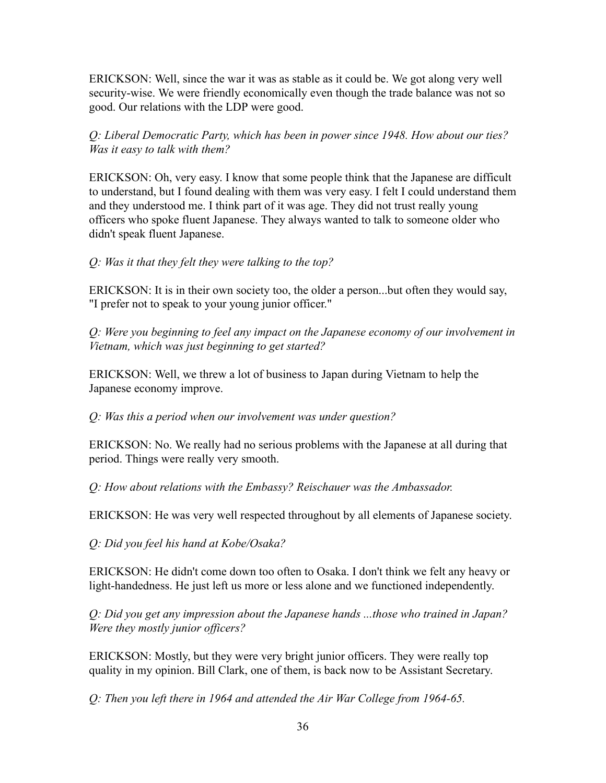ERICKSON: Well, since the war it was as stable as it could be. We got along very well security-wise. We were friendly economically even though the trade balance was not so good. Our relations with the LDP were good.

*Q: Liberal Democratic Party, which has been in power since 1948. How about our ties? Was it easy to talk with them?*

ERICKSON: Oh, very easy. I know that some people think that the Japanese are difficult to understand, but I found dealing with them was very easy. I felt I could understand them and they understood me. I think part of it was age. They did not trust really young officers who spoke fluent Japanese. They always wanted to talk to someone older who didn't speak fluent Japanese.

#### *Q: Was it that they felt they were talking to the top?*

ERICKSON: It is in their own society too, the older a person...but often they would say, "I prefer not to speak to your young junior officer."

*Q: Were you beginning to feel any impact on the Japanese economy of our involvement in Vietnam, which was just beginning to get started?*

ERICKSON: Well, we threw a lot of business to Japan during Vietnam to help the Japanese economy improve.

*Q: Was this a period when our involvement was under question?*

ERICKSON: No. We really had no serious problems with the Japanese at all during that period. Things were really very smooth.

*Q: How about relations with the Embassy? Reischauer was the Ambassador.*

ERICKSON: He was very well respected throughout by all elements of Japanese society.

*Q: Did you feel his hand at Kobe/Osaka?*

ERICKSON: He didn't come down too often to Osaka. I don't think we felt any heavy or light-handedness. He just left us more or less alone and we functioned independently.

*Q: Did you get any impression about the Japanese hands ...those who trained in Japan? Were they mostly junior officers?*

ERICKSON: Mostly, but they were very bright junior officers. They were really top quality in my opinion. Bill Clark, one of them, is back now to be Assistant Secretary.

*Q: Then you left there in 1964 and attended the Air War College from 1964-65.*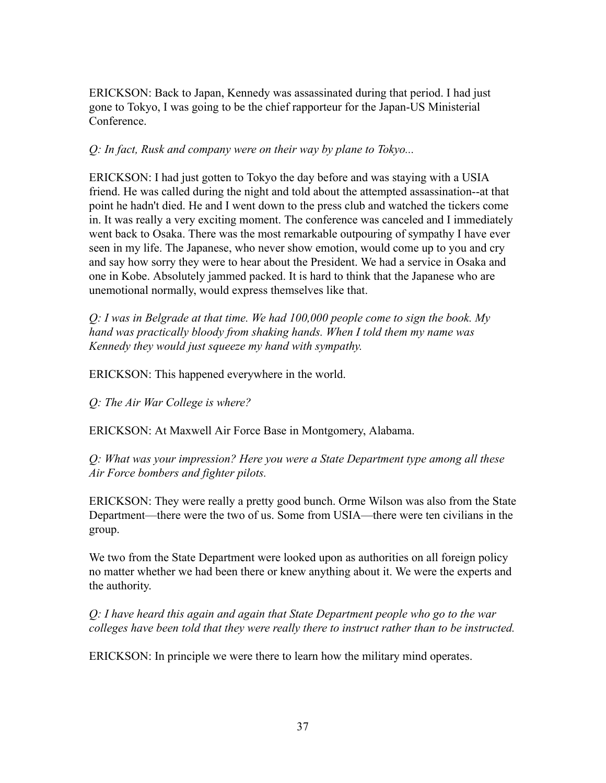ERICKSON: Back to Japan, Kennedy was assassinated during that period. I had just gone to Tokyo, I was going to be the chief rapporteur for the Japan-US Ministerial Conference.

### *Q: In fact, Rusk and company were on their way by plane to Tokyo...*

ERICKSON: I had just gotten to Tokyo the day before and was staying with a USIA friend. He was called during the night and told about the attempted assassination--at that point he hadn't died. He and I went down to the press club and watched the tickers come in. It was really a very exciting moment. The conference was canceled and I immediately went back to Osaka. There was the most remarkable outpouring of sympathy I have ever seen in my life. The Japanese, who never show emotion, would come up to you and cry and say how sorry they were to hear about the President. We had a service in Osaka and one in Kobe. Absolutely jammed packed. It is hard to think that the Japanese who are unemotional normally, would express themselves like that.

*Q: I was in Belgrade at that time. We had 100,000 people come to sign the book. My hand was practically bloody from shaking hands. When I told them my name was Kennedy they would just squeeze my hand with sympathy.*

ERICKSON: This happened everywhere in the world.

*Q: The Air War College is where?*

ERICKSON: At Maxwell Air Force Base in Montgomery, Alabama.

*Q: What was your impression? Here you were a State Department type among all these Air Force bombers and fighter pilots.*

ERICKSON: They were really a pretty good bunch. Orme Wilson was also from the State Department—there were the two of us. Some from USIA—there were ten civilians in the group.

We two from the State Department were looked upon as authorities on all foreign policy no matter whether we had been there or knew anything about it. We were the experts and the authority.

*Q: I have heard this again and again that State Department people who go to the war colleges have been told that they were really there to instruct rather than to be instructed.*

ERICKSON: In principle we were there to learn how the military mind operates.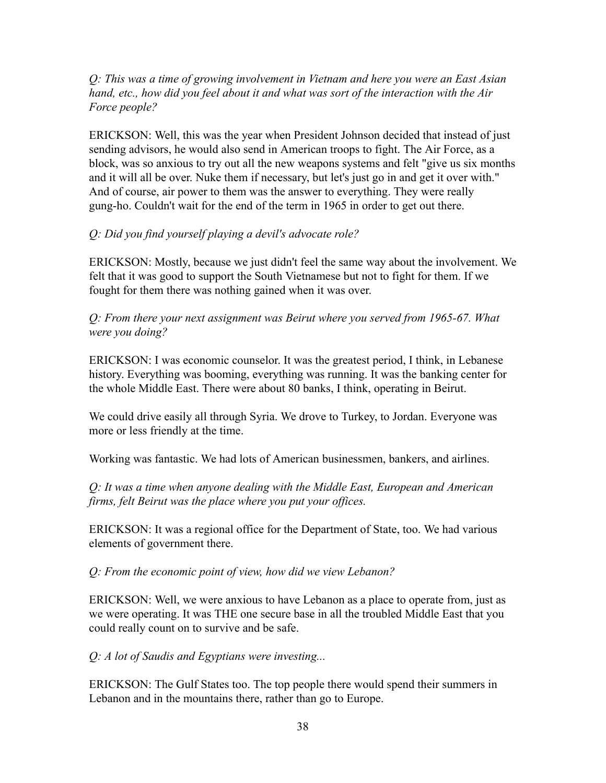#### *Q: This was a time of growing involvement in Vietnam and here you were an East Asian hand, etc., how did you feel about it and what was sort of the interaction with the Air Force people?*

ERICKSON: Well, this was the year when President Johnson decided that instead of just sending advisors, he would also send in American troops to fight. The Air Force, as a block, was so anxious to try out all the new weapons systems and felt "give us six months and it will all be over. Nuke them if necessary, but let's just go in and get it over with." And of course, air power to them was the answer to everything. They were really gung-ho. Couldn't wait for the end of the term in 1965 in order to get out there.

### *Q: Did you find yourself playing a devil's advocate role?*

ERICKSON: Mostly, because we just didn't feel the same way about the involvement. We felt that it was good to support the South Vietnamese but not to fight for them. If we fought for them there was nothing gained when it was over.

*Q: From there your next assignment was Beirut where you served from 1965-67. What were you doing?*

ERICKSON: I was economic counselor. It was the greatest period, I think, in Lebanese history. Everything was booming, everything was running. It was the banking center for the whole Middle East. There were about 80 banks, I think, operating in Beirut.

We could drive easily all through Syria. We drove to Turkey, to Jordan. Everyone was more or less friendly at the time.

Working was fantastic. We had lots of American businessmen, bankers, and airlines.

*Q: It was a time when anyone dealing with the Middle East, European and American firms, felt Beirut was the place where you put your offices.*

ERICKSON: It was a regional office for the Department of State, too. We had various elements of government there.

### *Q: From the economic point of view, how did we view Lebanon?*

ERICKSON: Well, we were anxious to have Lebanon as a place to operate from, just as we were operating. It was THE one secure base in all the troubled Middle East that you could really count on to survive and be safe.

*Q: A lot of Saudis and Egyptians were investing...*

ERICKSON: The Gulf States too. The top people there would spend their summers in Lebanon and in the mountains there, rather than go to Europe.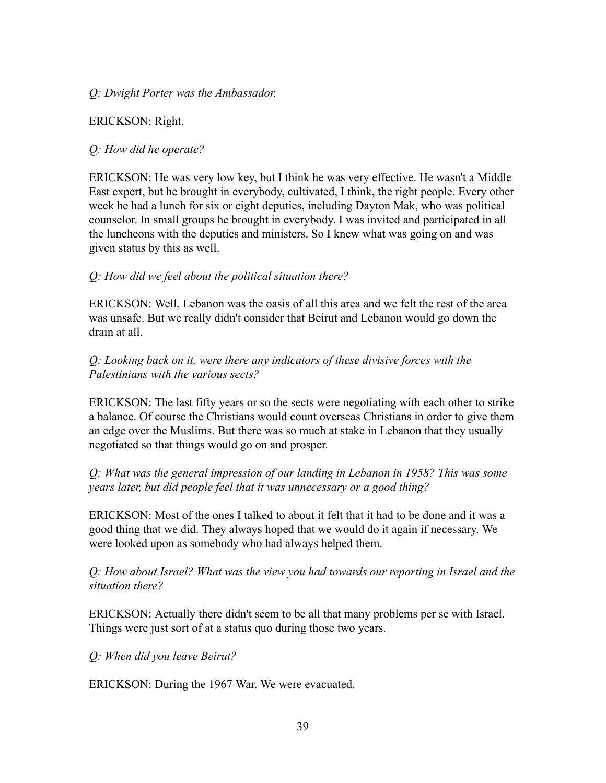#### *Q: Dwight Porter was the Ambassador.*

#### ERICKSON: Right.

#### *Q: How did he operate?*

ERICKSON: He was very low key, but I think he was very effective. He wasn't a Middle East expert, but he brought in everybody, cultivated, I think, the right people. Every other week he had a lunch for six or eight deputies, including Dayton Mak, who was political counselor. In small groups he brought in everybody. I was invited and participated in all the luncheons with the deputies and ministers. So I knew what was going on and was given status by this as well.

#### *Q: How did we feel about the political situation there?*

ERICKSON: Well, Lebanon was the oasis of all this area and we felt the rest of the area was unsafe. But we really didn't consider that Beirut and Lebanon would go down the drain at all.

#### *Q: Looking back on it, were there any indicators of these divisive forces with the Palestinians with the various sects?*

ERICKSON: The last fifty years or so the sects were negotiating with each other to strike a balance. Of course the Christians would count overseas Christians in order to give them an edge over the Muslims. But there was so much at stake in Lebanon that they usually negotiated so that things would go on and prosper.

### *Q: What was the general impression of our landing in Lebanon in 1958? This was some years later, but did people feel that it was unnecessary or a good thing?*

ERICKSON: Most of the ones I talked to about it felt that it had to be done and it was a good thing that we did. They always hoped that we would do it again if necessary. We were looked upon as somebody who had always helped them.

*Q: How about Israel? What was the view you had towards our reporting in Israel and the situation there?*

ERICKSON: Actually there didn't seem to be all that many problems per se with Israel. Things were just sort of at a status quo during those two years.

*Q: When did you leave Beirut?*

ERICKSON: During the 1967 War. We were evacuated.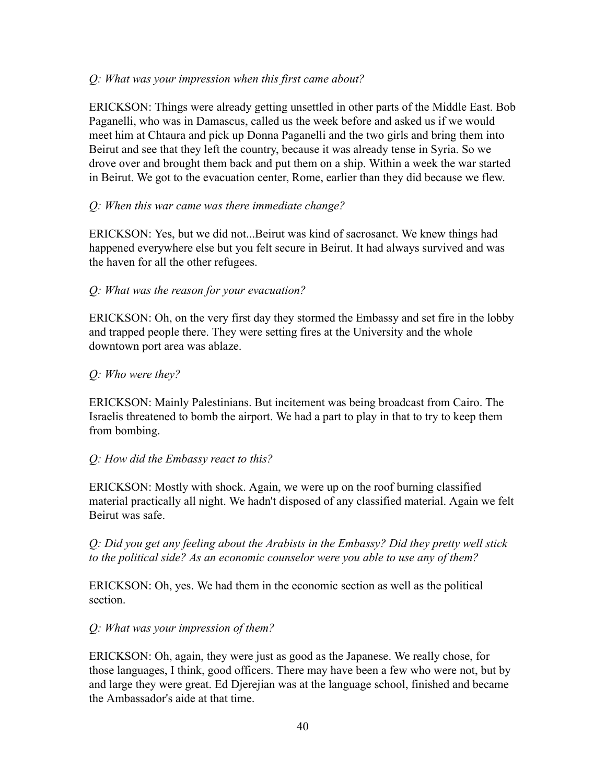### *Q: What was your impression when this first came about?*

ERICKSON: Things were already getting unsettled in other parts of the Middle East. Bob Paganelli, who was in Damascus, called us the week before and asked us if we would meet him at Chtaura and pick up Donna Paganelli and the two girls and bring them into Beirut and see that they left the country, because it was already tense in Syria. So we drove over and brought them back and put them on a ship. Within a week the war started in Beirut. We got to the evacuation center, Rome, earlier than they did because we flew.

### *Q: When this war came was there immediate change?*

ERICKSON: Yes, but we did not...Beirut was kind of sacrosanct. We knew things had happened everywhere else but you felt secure in Beirut. It had always survived and was the haven for all the other refugees.

### *Q: What was the reason for your evacuation?*

ERICKSON: Oh, on the very first day they stormed the Embassy and set fire in the lobby and trapped people there. They were setting fires at the University and the whole downtown port area was ablaze.

### *Q: Who were they?*

ERICKSON: Mainly Palestinians. But incitement was being broadcast from Cairo. The Israelis threatened to bomb the airport. We had a part to play in that to try to keep them from bombing.

### *Q: How did the Embassy react to this?*

ERICKSON: Mostly with shock. Again, we were up on the roof burning classified material practically all night. We hadn't disposed of any classified material. Again we felt Beirut was safe.

*Q: Did you get any feeling about the Arabists in the Embassy? Did they pretty well stick to the political side? As an economic counselor were you able to use any of them?*

ERICKSON: Oh, yes. We had them in the economic section as well as the political section.

### *Q: What was your impression of them?*

ERICKSON: Oh, again, they were just as good as the Japanese. We really chose, for those languages, I think, good officers. There may have been a few who were not, but by and large they were great. Ed Djerejian was at the language school, finished and became the Ambassador's aide at that time.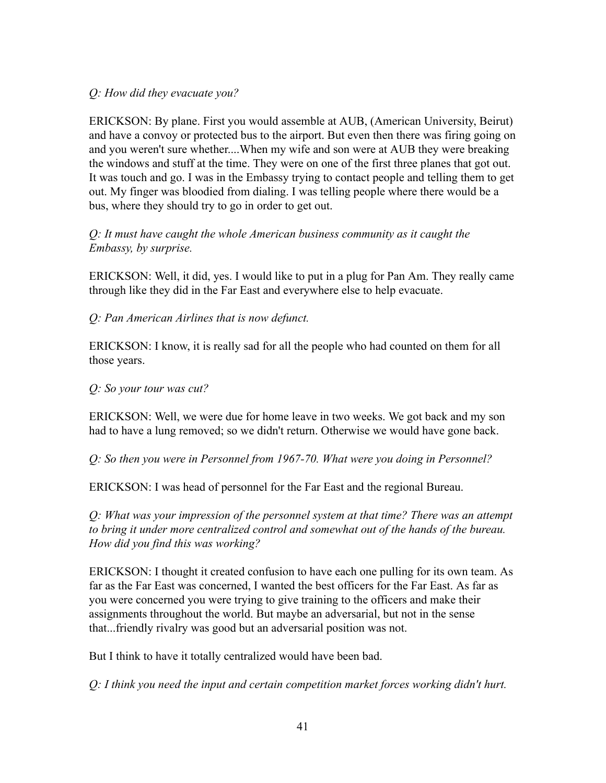## *Q: How did they evacuate you?*

ERICKSON: By plane. First you would assemble at AUB, (American University, Beirut) and have a convoy or protected bus to the airport. But even then there was firing going on and you weren't sure whether....When my wife and son were at AUB they were breaking the windows and stuff at the time. They were on one of the first three planes that got out. It was touch and go. I was in the Embassy trying to contact people and telling them to get out. My finger was bloodied from dialing. I was telling people where there would be a bus, where they should try to go in order to get out.

### *Q: It must have caught the whole American business community as it caught the Embassy, by surprise.*

ERICKSON: Well, it did, yes. I would like to put in a plug for Pan Am. They really came through like they did in the Far East and everywhere else to help evacuate.

*Q: Pan American Airlines that is now defunct.*

ERICKSON: I know, it is really sad for all the people who had counted on them for all those years.

## *Q: So your tour was cut?*

ERICKSON: Well, we were due for home leave in two weeks. We got back and my son had to have a lung removed; so we didn't return. Otherwise we would have gone back.

*Q: So then you were in Personnel from 1967-70. What were you doing in Personnel?*

ERICKSON: I was head of personnel for the Far East and the regional Bureau.

*Q: What was your impression of the personnel system at that time? There was an attempt to bring it under more centralized control and somewhat out of the hands of the bureau. How did you find this was working?*

ERICKSON: I thought it created confusion to have each one pulling for its own team. As far as the Far East was concerned, I wanted the best officers for the Far East. As far as you were concerned you were trying to give training to the officers and make their assignments throughout the world. But maybe an adversarial, but not in the sense that...friendly rivalry was good but an adversarial position was not.

But I think to have it totally centralized would have been bad.

*Q: I think you need the input and certain competition market forces working didn't hurt.*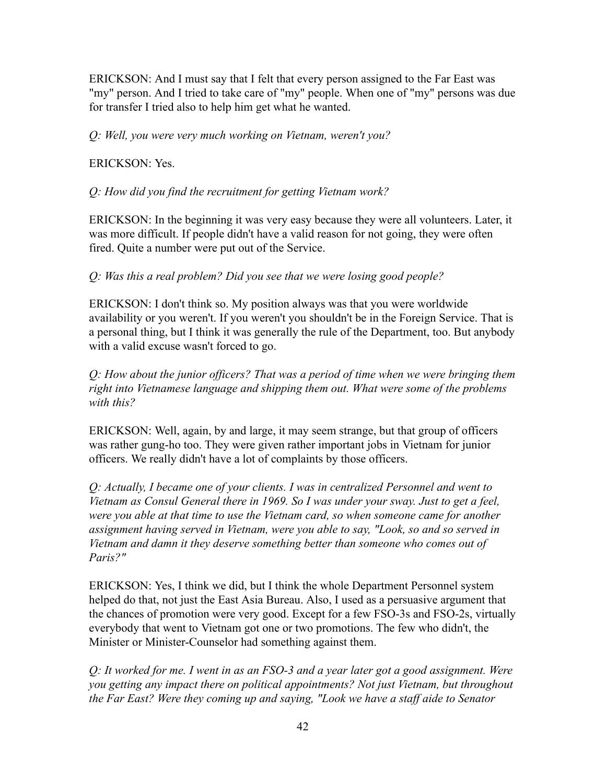ERICKSON: And I must say that I felt that every person assigned to the Far East was "my" person. And I tried to take care of "my" people. When one of "my" persons was due for transfer I tried also to help him get what he wanted.

*Q: Well, you were very much working on Vietnam, weren't you?*

ERICKSON: Yes.

*Q: How did you find the recruitment for getting Vietnam work?*

ERICKSON: In the beginning it was very easy because they were all volunteers. Later, it was more difficult. If people didn't have a valid reason for not going, they were often fired. Quite a number were put out of the Service.

*Q: Was this a real problem? Did you see that we were losing good people?*

ERICKSON: I don't think so. My position always was that you were worldwide availability or you weren't. If you weren't you shouldn't be in the Foreign Service. That is a personal thing, but I think it was generally the rule of the Department, too. But anybody with a valid excuse wasn't forced to go.

*Q: How about the junior officers? That was a period of time when we were bringing them right into Vietnamese language and shipping them out. What were some of the problems with this?*

ERICKSON: Well, again, by and large, it may seem strange, but that group of officers was rather gung-ho too. They were given rather important jobs in Vietnam for junior officers. We really didn't have a lot of complaints by those officers.

*Q: Actually, I became one of your clients. I was in centralized Personnel and went to Vietnam as Consul General there in 1969. So I was under your sway. Just to get a feel, were you able at that time to use the Vietnam card, so when someone came for another assignment having served in Vietnam, were you able to say, "Look, so and so served in Vietnam and damn it they deserve something better than someone who comes out of Paris?"*

ERICKSON: Yes, I think we did, but I think the whole Department Personnel system helped do that, not just the East Asia Bureau. Also, I used as a persuasive argument that the chances of promotion were very good. Except for a few FSO-3s and FSO-2s, virtually everybody that went to Vietnam got one or two promotions. The few who didn't, the Minister or Minister-Counselor had something against them.

*Q: It worked for me. I went in as an FSO-3 and a year later got a good assignment. Were you getting any impact there on political appointments? Not just Vietnam, but throughout the Far East? Were they coming up and saying, "Look we have a staff aide to Senator*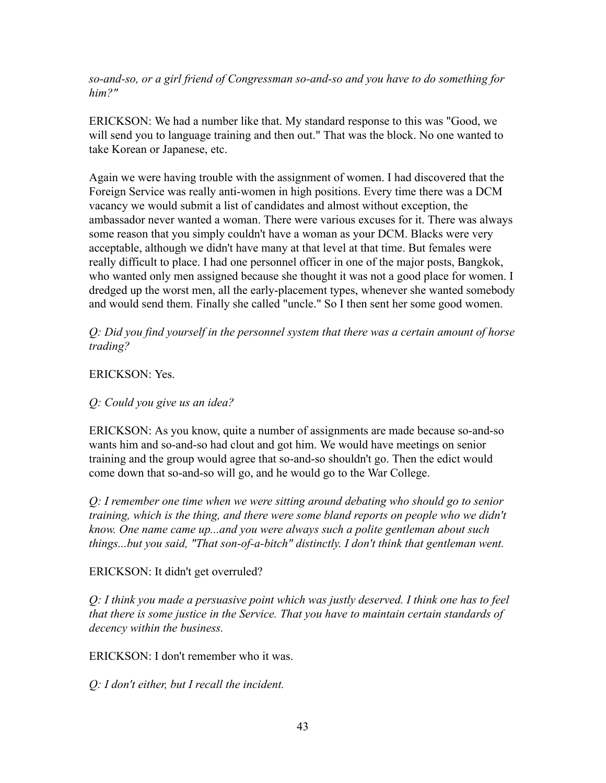*so-and-so, or a girl friend of Congressman so-and-so and you have to do something for him?"*

ERICKSON: We had a number like that. My standard response to this was "Good, we will send you to language training and then out." That was the block. No one wanted to take Korean or Japanese, etc.

Again we were having trouble with the assignment of women. I had discovered that the Foreign Service was really anti-women in high positions. Every time there was a DCM vacancy we would submit a list of candidates and almost without exception, the ambassador never wanted a woman. There were various excuses for it. There was always some reason that you simply couldn't have a woman as your DCM. Blacks were very acceptable, although we didn't have many at that level at that time. But females were really difficult to place. I had one personnel officer in one of the major posts, Bangkok, who wanted only men assigned because she thought it was not a good place for women. I dredged up the worst men, all the early-placement types, whenever she wanted somebody and would send them. Finally she called "uncle." So I then sent her some good women.

*Q: Did you find yourself in the personnel system that there was a certain amount of horse trading?*

ERICKSON: Yes.

*Q: Could you give us an idea?*

ERICKSON: As you know, quite a number of assignments are made because so-and-so wants him and so-and-so had clout and got him. We would have meetings on senior training and the group would agree that so-and-so shouldn't go. Then the edict would come down that so-and-so will go, and he would go to the War College.

*Q: I remember one time when we were sitting around debating who should go to senior training, which is the thing, and there were some bland reports on people who we didn't know. One name came up...and you were always such a polite gentleman about such things...but you said, "That son-of-a-bitch" distinctly. I don't think that gentleman went.*

### ERICKSON: It didn't get overruled?

*Q: I think you made a persuasive point which was justly deserved. I think one has to feel that there is some justice in the Service. That you have to maintain certain standards of decency within the business.*

ERICKSON: I don't remember who it was.

*Q: I don't either, but I recall the incident.*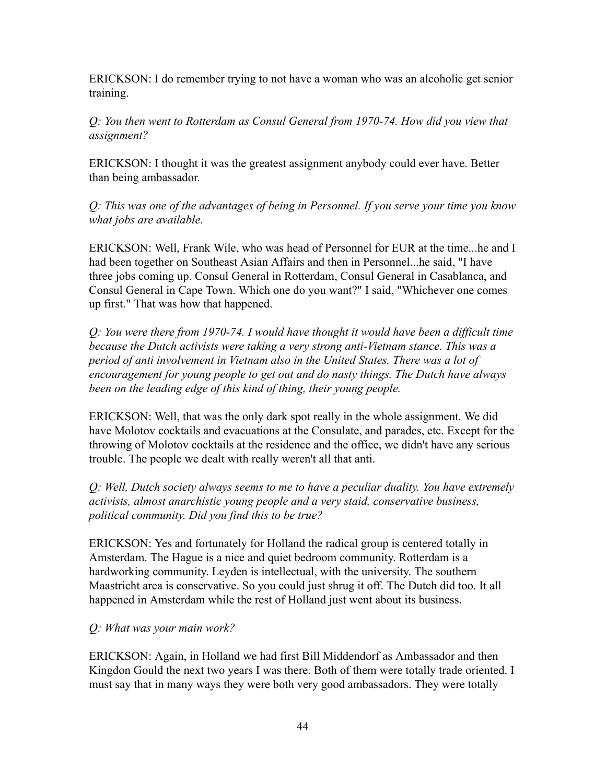ERICKSON: I do remember trying to not have a woman who was an alcoholic get senior training.

*Q: You then went to Rotterdam as Consul General from 1970-74. How did you view that assignment?*

ERICKSON: I thought it was the greatest assignment anybody could ever have. Better than being ambassador.

*Q: This was one of the advantages of being in Personnel. If you serve your time you know what jobs are available.*

ERICKSON: Well, Frank Wile, who was head of Personnel for EUR at the time...he and I had been together on Southeast Asian Affairs and then in Personnel...he said, "I have three jobs coming up. Consul General in Rotterdam, Consul General in Casablanca, and Consul General in Cape Town. Which one do you want?" I said, "Whichever one comes up first." That was how that happened.

*Q: You were there from 1970-74. I would have thought it would have been a difficult time because the Dutch activists were taking a very strong anti-Vietnam stance. This was a period of anti involvement in Vietnam also in the United States. There was a lot of encouragement for young people to get out and do nasty things. The Dutch have always been on the leading edge of this kind of thing, their young people.*

ERICKSON: Well, that was the only dark spot really in the whole assignment. We did have Molotov cocktails and evacuations at the Consulate, and parades, etc. Except for the throwing of Molotov cocktails at the residence and the office, we didn't have any serious trouble. The people we dealt with really weren't all that anti.

*Q: Well, Dutch society always seems to me to have a peculiar duality. You have extremely activists, almost anarchistic young people and a very staid, conservative business, political community. Did you find this to be true?*

ERICKSON: Yes and fortunately for Holland the radical group is centered totally in Amsterdam. The Hague is a nice and quiet bedroom community. Rotterdam is a hardworking community. Leyden is intellectual, with the university. The southern Maastricht area is conservative. So you could just shrug it off. The Dutch did too. It all happened in Amsterdam while the rest of Holland just went about its business.

### *Q: What was your main work?*

ERICKSON: Again, in Holland we had first Bill Middendorf as Ambassador and then Kingdon Gould the next two years I was there. Both of them were totally trade oriented. I must say that in many ways they were both very good ambassadors. They were totally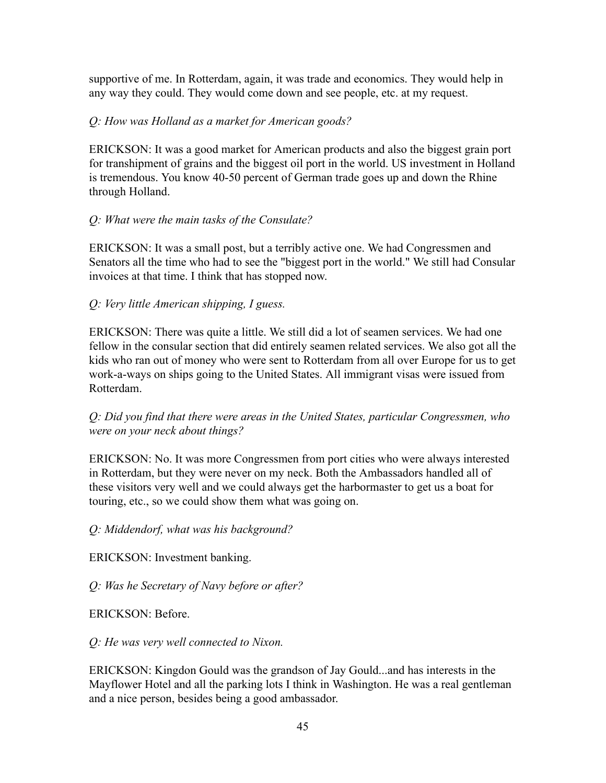supportive of me. In Rotterdam, again, it was trade and economics. They would help in any way they could. They would come down and see people, etc. at my request.

### *Q: How was Holland as a market for American goods?*

ERICKSON: It was a good market for American products and also the biggest grain port for transhipment of grains and the biggest oil port in the world. US investment in Holland is tremendous. You know 40-50 percent of German trade goes up and down the Rhine through Holland.

#### *Q: What were the main tasks of the Consulate?*

ERICKSON: It was a small post, but a terribly active one. We had Congressmen and Senators all the time who had to see the "biggest port in the world." We still had Consular invoices at that time. I think that has stopped now.

### *Q: Very little American shipping, I guess.*

ERICKSON: There was quite a little. We still did a lot of seamen services. We had one fellow in the consular section that did entirely seamen related services. We also got all the kids who ran out of money who were sent to Rotterdam from all over Europe for us to get work-a-ways on ships going to the United States. All immigrant visas were issued from Rotterdam.

### *Q: Did you find that there were areas in the United States, particular Congressmen, who were on your neck about things?*

ERICKSON: No. It was more Congressmen from port cities who were always interested in Rotterdam, but they were never on my neck. Both the Ambassadors handled all of these visitors very well and we could always get the harbormaster to get us a boat for touring, etc., so we could show them what was going on.

*Q: Middendorf, what was his background?*

ERICKSON: Investment banking.

*Q: Was he Secretary of Navy before or after?*

ERICKSON: Before.

*Q: He was very well connected to Nixon.*

ERICKSON: Kingdon Gould was the grandson of Jay Gould...and has interests in the Mayflower Hotel and all the parking lots I think in Washington. He was a real gentleman and a nice person, besides being a good ambassador.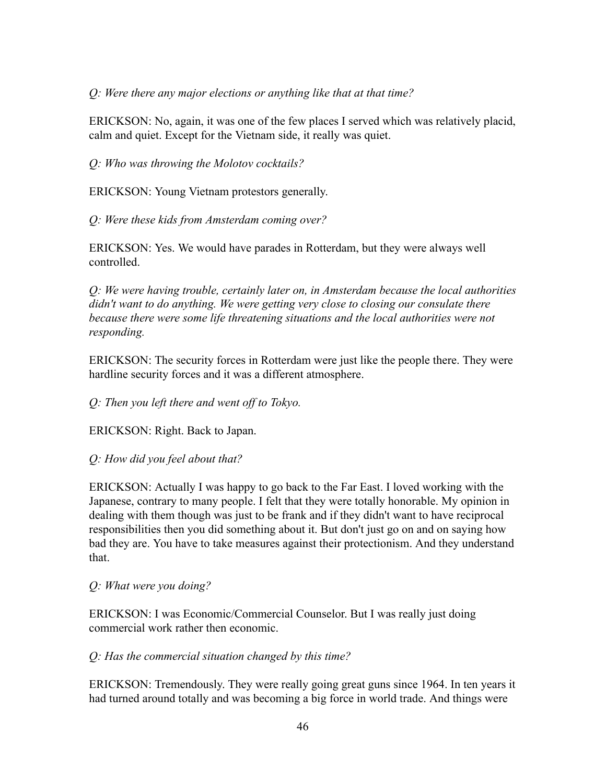#### *Q: Were there any major elections or anything like that at that time?*

ERICKSON: No, again, it was one of the few places I served which was relatively placid, calm and quiet. Except for the Vietnam side, it really was quiet.

*Q: Who was throwing the Molotov cocktails?*

ERICKSON: Young Vietnam protestors generally.

*Q: Were these kids from Amsterdam coming over?*

ERICKSON: Yes. We would have parades in Rotterdam, but they were always well controlled.

*Q: We were having trouble, certainly later on, in Amsterdam because the local authorities didn't want to do anything. We were getting very close to closing our consulate there because there were some life threatening situations and the local authorities were not responding.*

ERICKSON: The security forces in Rotterdam were just like the people there. They were hardline security forces and it was a different atmosphere.

*Q: Then you left there and went off to Tokyo.*

ERICKSON: Right. Back to Japan.

*Q: How did you feel about that?*

ERICKSON: Actually I was happy to go back to the Far East. I loved working with the Japanese, contrary to many people. I felt that they were totally honorable. My opinion in dealing with them though was just to be frank and if they didn't want to have reciprocal responsibilities then you did something about it. But don't just go on and on saying how bad they are. You have to take measures against their protectionism. And they understand that.

#### *Q: What were you doing?*

ERICKSON: I was Economic/Commercial Counselor. But I was really just doing commercial work rather then economic.

### *Q: Has the commercial situation changed by this time?*

ERICKSON: Tremendously. They were really going great guns since 1964. In ten years it had turned around totally and was becoming a big force in world trade. And things were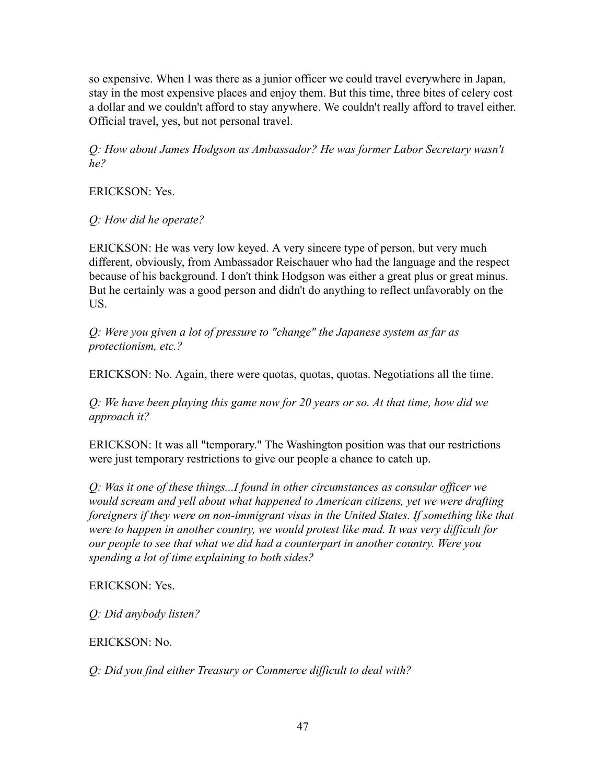so expensive. When I was there as a junior officer we could travel everywhere in Japan, stay in the most expensive places and enjoy them. But this time, three bites of celery cost a dollar and we couldn't afford to stay anywhere. We couldn't really afford to travel either. Official travel, yes, but not personal travel.

*Q: How about James Hodgson as Ambassador? He was former Labor Secretary wasn't he?*

ERICKSON: Yes.

*Q: How did he operate?*

ERICKSON: He was very low keyed. A very sincere type of person, but very much different, obviously, from Ambassador Reischauer who had the language and the respect because of his background. I don't think Hodgson was either a great plus or great minus. But he certainly was a good person and didn't do anything to reflect unfavorably on the US.

*Q: Were you given a lot of pressure to "change" the Japanese system as far as protectionism, etc.?*

ERICKSON: No. Again, there were quotas, quotas, quotas. Negotiations all the time.

*Q: We have been playing this game now for 20 years or so. At that time, how did we approach it?*

ERICKSON: It was all "temporary." The Washington position was that our restrictions were just temporary restrictions to give our people a chance to catch up.

*Q: Was it one of these things...I found in other circumstances as consular officer we would scream and yell about what happened to American citizens, yet we were drafting foreigners if they were on non-immigrant visas in the United States. If something like that were to happen in another country, we would protest like mad. It was very difficult for our people to see that what we did had a counterpart in another country. Were you spending a lot of time explaining to both sides?*

# ERICKSON: Yes.

*Q: Did anybody listen?*

# ERICKSON: No.

*Q: Did you find either Treasury or Commerce difficult to deal with?*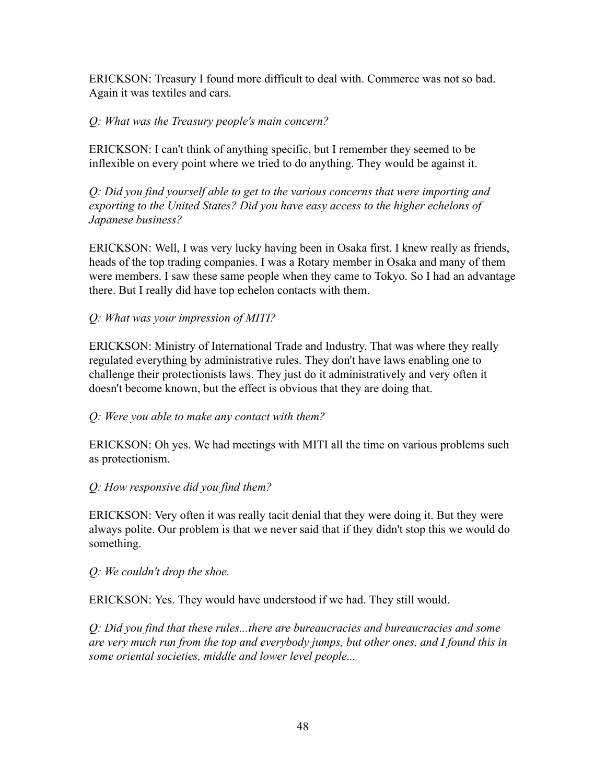ERICKSON: Treasury I found more difficult to deal with. Commerce was not so bad. Again it was textiles and cars.

### *Q: What was the Treasury people's main concern?*

ERICKSON: I can't think of anything specific, but I remember they seemed to be inflexible on every point where we tried to do anything. They would be against it.

*Q: Did you find yourself able to get to the various concerns that were importing and exporting to the United States? Did you have easy access to the higher echelons of Japanese business?*

ERICKSON: Well, I was very lucky having been in Osaka first. I knew really as friends, heads of the top trading companies. I was a Rotary member in Osaka and many of them were members. I saw these same people when they came to Tokyo. So I had an advantage there. But I really did have top echelon contacts with them.

*Q: What was your impression of MITI?*

ERICKSON: Ministry of International Trade and Industry. That was where they really regulated everything by administrative rules. They don't have laws enabling one to challenge their protectionists laws. They just do it administratively and very often it doesn't become known, but the effect is obvious that they are doing that.

### *Q: Were you able to make any contact with them?*

ERICKSON: Oh yes. We had meetings with MITI all the time on various problems such as protectionism.

### *Q: How responsive did you find them?*

ERICKSON: Very often it was really tacit denial that they were doing it. But they were always polite. Our problem is that we never said that if they didn't stop this we would do something.

#### *Q: We couldn't drop the shoe.*

ERICKSON: Yes. They would have understood if we had. They still would.

*Q: Did you find that these rules...there are bureaucracies and bureaucracies and some are very much run from the top and everybody jumps, but other ones, and I found this in some oriental societies, middle and lower level people...*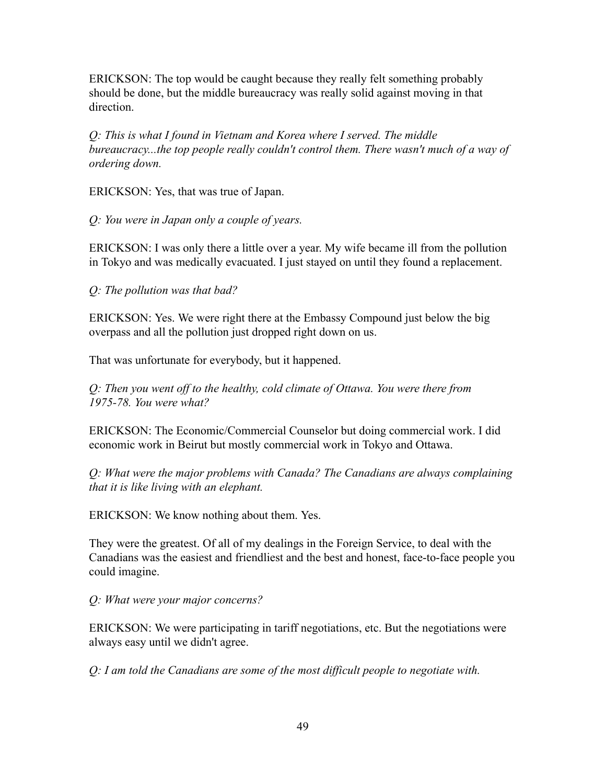ERICKSON: The top would be caught because they really felt something probably should be done, but the middle bureaucracy was really solid against moving in that direction.

*Q: This is what I found in Vietnam and Korea where I served. The middle bureaucracy...the top people really couldn't control them. There wasn't much of a way of ordering down.*

ERICKSON: Yes, that was true of Japan.

*Q: You were in Japan only a couple of years.*

ERICKSON: I was only there a little over a year. My wife became ill from the pollution in Tokyo and was medically evacuated. I just stayed on until they found a replacement.

*Q: The pollution was that bad?*

ERICKSON: Yes. We were right there at the Embassy Compound just below the big overpass and all the pollution just dropped right down on us.

That was unfortunate for everybody, but it happened.

*Q: Then you went off to the healthy, cold climate of Ottawa. You were there from 1975-78. You were what?*

ERICKSON: The Economic/Commercial Counselor but doing commercial work. I did economic work in Beirut but mostly commercial work in Tokyo and Ottawa.

*Q: What were the major problems with Canada? The Canadians are always complaining that it is like living with an elephant.*

ERICKSON: We know nothing about them. Yes.

They were the greatest. Of all of my dealings in the Foreign Service, to deal with the Canadians was the easiest and friendliest and the best and honest, face-to-face people you could imagine.

*Q: What were your major concerns?*

ERICKSON: We were participating in tariff negotiations, etc. But the negotiations were always easy until we didn't agree.

*Q: I am told the Canadians are some of the most difficult people to negotiate with.*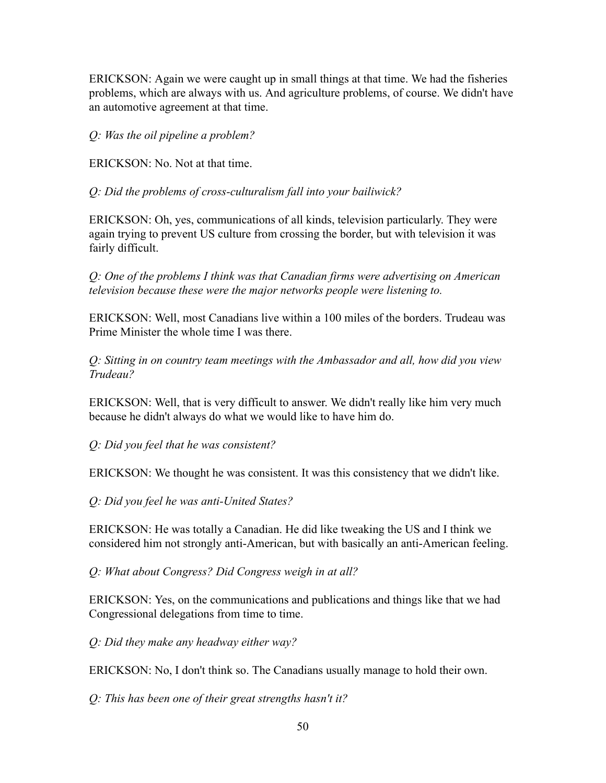ERICKSON: Again we were caught up in small things at that time. We had the fisheries problems, which are always with us. And agriculture problems, of course. We didn't have an automotive agreement at that time.

#### *Q: Was the oil pipeline a problem?*

ERICKSON: No. Not at that time.

*Q: Did the problems of cross-culturalism fall into your bailiwick?*

ERICKSON: Oh, yes, communications of all kinds, television particularly. They were again trying to prevent US culture from crossing the border, but with television it was fairly difficult.

*Q: One of the problems I think was that Canadian firms were advertising on American television because these were the major networks people were listening to.*

ERICKSON: Well, most Canadians live within a 100 miles of the borders. Trudeau was Prime Minister the whole time I was there.

*Q: Sitting in on country team meetings with the Ambassador and all, how did you view Trudeau?*

ERICKSON: Well, that is very difficult to answer. We didn't really like him very much because he didn't always do what we would like to have him do.

*Q: Did you feel that he was consistent?*

ERICKSON: We thought he was consistent. It was this consistency that we didn't like.

*Q: Did you feel he was anti-United States?*

ERICKSON: He was totally a Canadian. He did like tweaking the US and I think we considered him not strongly anti-American, but with basically an anti-American feeling.

*Q: What about Congress? Did Congress weigh in at all?*

ERICKSON: Yes, on the communications and publications and things like that we had Congressional delegations from time to time.

*Q: Did they make any headway either way?*

ERICKSON: No, I don't think so. The Canadians usually manage to hold their own.

*Q: This has been one of their great strengths hasn't it?*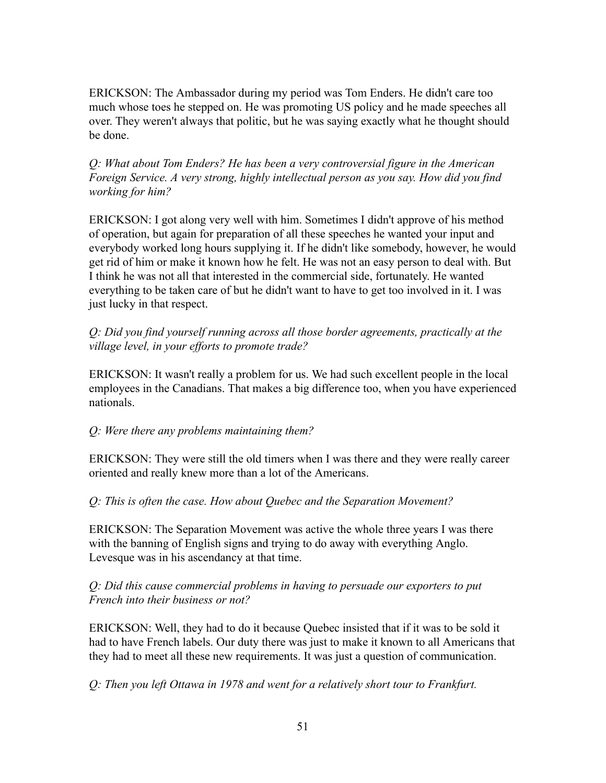ERICKSON: The Ambassador during my period was Tom Enders. He didn't care too much whose toes he stepped on. He was promoting US policy and he made speeches all over. They weren't always that politic, but he was saying exactly what he thought should be done.

*Q: What about Tom Enders? He has been a very controversial figure in the American Foreign Service. A very strong, highly intellectual person as you say. How did you find working for him?*

ERICKSON: I got along very well with him. Sometimes I didn't approve of his method of operation, but again for preparation of all these speeches he wanted your input and everybody worked long hours supplying it. If he didn't like somebody, however, he would get rid of him or make it known how he felt. He was not an easy person to deal with. But I think he was not all that interested in the commercial side, fortunately. He wanted everything to be taken care of but he didn't want to have to get too involved in it. I was just lucky in that respect.

*Q: Did you find yourself running across all those border agreements, practically at the village level, in your efforts to promote trade?*

ERICKSON: It wasn't really a problem for us. We had such excellent people in the local employees in the Canadians. That makes a big difference too, when you have experienced nationals.

### *Q: Were there any problems maintaining them?*

ERICKSON: They were still the old timers when I was there and they were really career oriented and really knew more than a lot of the Americans.

*Q: This is often the case. How about Quebec and the Separation Movement?*

ERICKSON: The Separation Movement was active the whole three years I was there with the banning of English signs and trying to do away with everything Anglo. Levesque was in his ascendancy at that time.

*Q: Did this cause commercial problems in having to persuade our exporters to put French into their business or not?*

ERICKSON: Well, they had to do it because Quebec insisted that if it was to be sold it had to have French labels. Our duty there was just to make it known to all Americans that they had to meet all these new requirements. It was just a question of communication.

*Q: Then you left Ottawa in 1978 and went for a relatively short tour to Frankfurt.*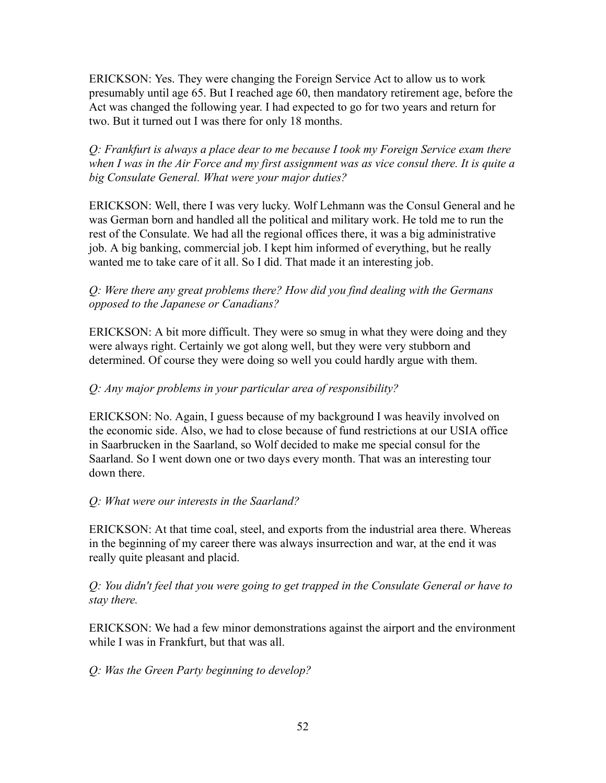ERICKSON: Yes. They were changing the Foreign Service Act to allow us to work presumably until age 65. But I reached age 60, then mandatory retirement age, before the Act was changed the following year. I had expected to go for two years and return for two. But it turned out I was there for only 18 months.

*Q: Frankfurt is always a place dear to me because I took my Foreign Service exam there when I was in the Air Force and my first assignment was as vice consul there. It is quite a big Consulate General. What were your major duties?*

ERICKSON: Well, there I was very lucky. Wolf Lehmann was the Consul General and he was German born and handled all the political and military work. He told me to run the rest of the Consulate. We had all the regional offices there, it was a big administrative job. A big banking, commercial job. I kept him informed of everything, but he really wanted me to take care of it all. So I did. That made it an interesting job.

# *Q: Were there any great problems there? How did you find dealing with the Germans opposed to the Japanese or Canadians?*

ERICKSON: A bit more difficult. They were so smug in what they were doing and they were always right. Certainly we got along well, but they were very stubborn and determined. Of course they were doing so well you could hardly argue with them.

# *Q: Any major problems in your particular area of responsibility?*

ERICKSON: No. Again, I guess because of my background I was heavily involved on the economic side. Also, we had to close because of fund restrictions at our USIA office in Saarbrucken in the Saarland, so Wolf decided to make me special consul for the Saarland. So I went down one or two days every month. That was an interesting tour down there.

### *Q: What were our interests in the Saarland?*

ERICKSON: At that time coal, steel, and exports from the industrial area there. Whereas in the beginning of my career there was always insurrection and war, at the end it was really quite pleasant and placid.

*Q: You didn't feel that you were going to get trapped in the Consulate General or have to stay there.*

ERICKSON: We had a few minor demonstrations against the airport and the environment while I was in Frankfurt, but that was all.

# *Q: Was the Green Party beginning to develop?*